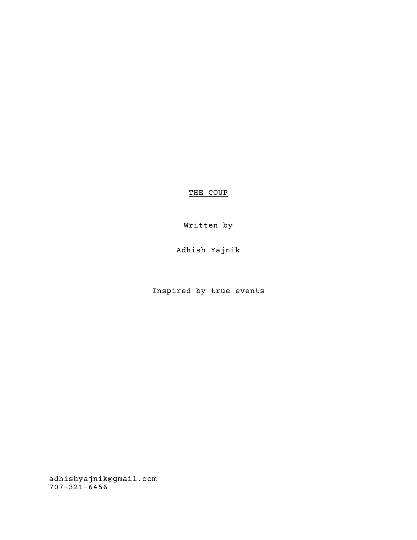THE COUP

Written by

Adhish Yajnik

Inspired by true events

adhishyajnik@gmail.com 707-321-6456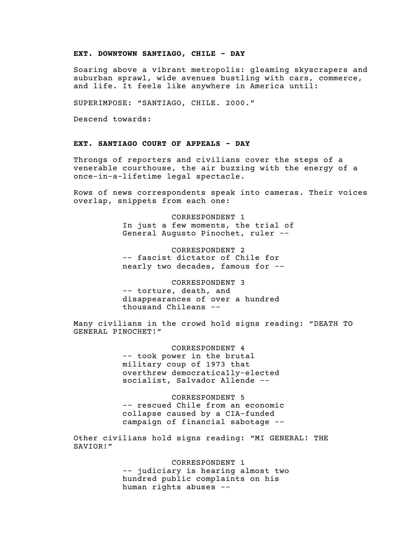#### EXT. DOWNTOWN SANTIAGO, CHILE - DAY

Soaring above a vibrant metropolis: gleaming skyscrapers and suburban sprawl, wide avenues bustling with cars, commerce, and life. It feels like anywhere in America until:

SUPERIMPOSE: "SANTIAGO, CHILE. 2000."

Descend towards:

# EXT. SANTIAGO COURT OF APPEALS - DAY

Throngs of reporters and civilians cover the steps of a venerable courthouse, the air buzzing with the energy of a once-in-a-lifetime legal spectacle.

Rows of news correspondents speak into cameras. Their voices overlap, snippets from each one:

> CORRESPONDENT 1 In just a few moments, the trial of General Augusto Pinochet, ruler --

CORRESPONDENT 2 -- fascist dictator of Chile for nearly two decades, famous for --

CORRESPONDENT 3 -- torture, death, and disappearances of over a hundred thousand Chileans --

Many civilians in the crowd hold signs reading: "DEATH TO GENERAL PINOCHET!"

> CORRESPONDENT 4 -- took power in the brutal military coup of 1973 that overthrew democratically-elected socialist, Salvador Allende --

CORRESPONDENT 5 -- rescued Chile from an economic collapse caused by a CIA-funded campaign of financial sabotage --

Other civilians hold signs reading: "MI GENERAL! THE SAVIOR!"

> CORRESPONDENT 1 -- judiciary is hearing almost two hundred public complaints on his human rights abuses --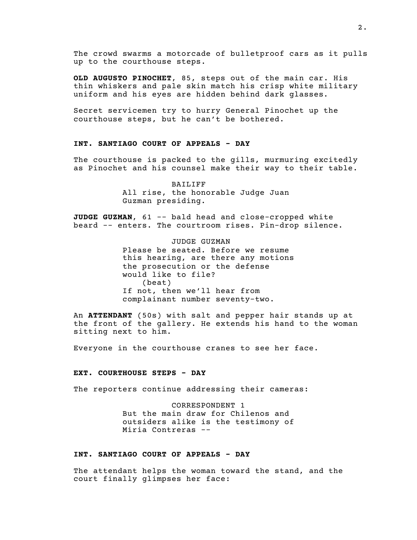The crowd swarms a motorcade of bulletproof cars as it pulls up to the courthouse steps.

OLD AUGUSTO PINOCHET, 85, steps out of the main car. His thin whiskers and pale skin match his crisp white military uniform and his eyes are hidden behind dark glasses.

Secret servicemen try to hurry General Pinochet up the courthouse steps, but he can't be bothered.

## INT. SANTIAGO COURT OF APPEALS - DAY

The courthouse is packed to the gills, murmuring excitedly as Pinochet and his counsel make their way to their table.

> BAILIFF All rise, the honorable Judge Juan Guzman presiding.

JUDGE GUZMAN, 61 -- bald head and close-cropped white beard -- enters. The courtroom rises. Pin-drop silence.

> JUDGE GUZMAN Please be seated. Before we resume this hearing, are there any motions the prosecution or the defense would like to file?  $(b$ eat $)$ If not, then we'll hear from complainant number seventy-two.

An ATTENDANT (50s) with salt and pepper hair stands up at the front of the gallery. He extends his hand to the woman sitting next to him.

Everyone in the courthouse cranes to see her face.

#### EXT. COURTHOUSE STEPS - DAY

The reporters continue addressing their cameras:

CORRESPONDENT 1 But the main draw for Chilenos and outsiders alike is the testimony of Miria Contreras --

# INT. SANTIAGO COURT OF APPEALS - DAY

The attendant helps the woman toward the stand, and the court finally glimpses her face: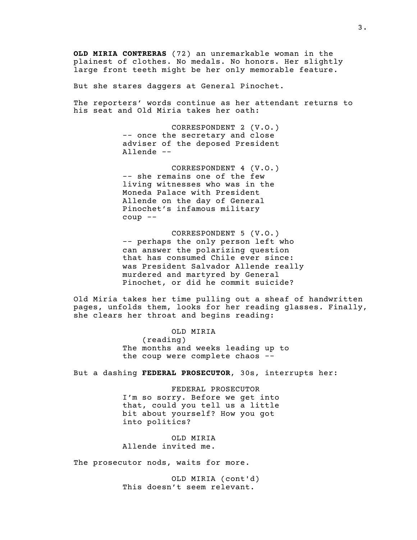OLD MIRIA CONTRERAS (72) an unremarkable woman in the plainest of clothes. No medals. No honors. Her slightly large front teeth might be her only memorable feature.

But she stares daggers at General Pinochet.

The reporters' words continue as her attendant returns to his seat and Old Miria takes her oath:

> CORRESPONDENT 2 (V.O.) -- once the secretary and close adviser of the deposed President Allende --

> CORRESPONDENT 4 (V.O.) -- she remains one of the few living witnesses who was in the Moneda Palace with President Allende on the day of General Pinochet's infamous military coup --

CORRESPONDENT 5 (V.O.) -- perhaps the only person left who can answer the polarizing question that has consumed Chile ever since: was President Salvador Allende really murdered and martyred by General Pinochet, or did he commit suicide?

Old Miria takes her time pulling out a sheaf of handwritten pages, unfolds them, looks for her reading glasses. Finally, she clears her throat and begins reading:

> OLD MIRIA  $(reading)$ The months and weeks leading up to the coup were complete chaos --

But a dashing FEDERAL PROSECUTOR, 30s, interrupts her:

FEDERAL PROSECUTOR I'm so sorry. Before we get into that, could you tell us a little bit about yourself? How you got into politics?

OLD MIRIA Allende invited me.

The prosecutor nods, waits for more.

OLD MIRIA (cont'd) This doesn't seem relevant.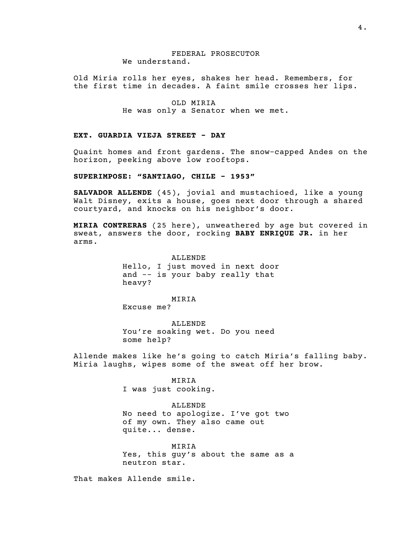## FEDERAL PROSECUTOR We understand.

Old Miria rolls her eyes, shakes her head. Remembers, for the first time in decades. A faint smile crosses her lips.

> OLD MIRIA He was only a Senator when we met.

## EXT. GUARDIA VIEJA STREET - DAY

Quaint homes and front gardens. The snow-capped Andes on the horizon, peeking above low rooftops.

SUPERIMPOSE: "SANTIAGO, CHILE - 1953"

SALVADOR ALLENDE (45), jovial and mustachioed, like a young Walt Disney, exits a house, goes next door through a shared courtyard, and knocks on his neighbor's door.

MIRIA CONTRERAS (25 here), unweathered by age but covered in sweat, answers the door, rocking BABY ENRIQUE JR. in her arms.

> ALLENDE Hello, I just moved in next door and -- is your baby really that heavy?

MIRIA Excuse me?

ALLENDE You're soaking wet. Do you need some help?

Allende makes like he's going to catch Miria's falling baby. Miria laughs, wipes some of the sweat off her brow.

#### MIRIA

I was just cooking.

## ALLENDE

No need to apologize. I've got two of my own. They also came out quite... dense.

MIRIA Yes, this guy's about the same as a neutron star.

That makes Allende smile.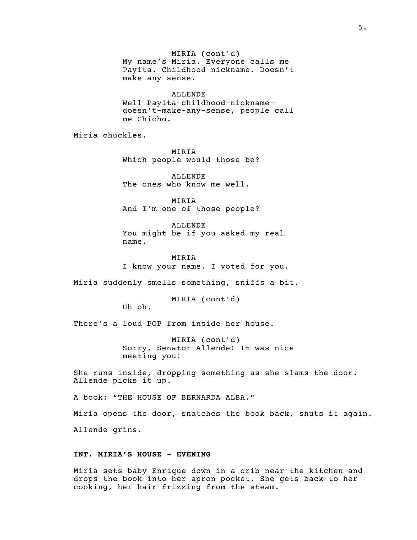MIRIA (cont'd) My name's Miria. Everyone calls me Payita. Childhood nickname. Doesn't make any sense.

ALLENDE Well Payita-childhood-nicknamedoesn't-make-any-sense, people call me Chicho.

Miria chuckles.

MIRIA Which people would those be?

ALLENDE The ones who know me well.

MIRIA And I'm one of those people?

ALLENDE You might be if you asked my real name.

MIRIA I know your name. I voted for you.

Miria suddenly smells something, sniffs a bit.

MIRIA (cont'd)

Uh oh.

There's a loud POP from inside her house.

MIRIA (cont'd) Sorry, Senator Allende! It was nice meeting you!

She runs inside, dropping something as she slams the door. Allende picks it up.

A book: "THE HOUSE OF BERNARDA ALBA."

Miria opens the door, snatches the book back, shuts it again. Allende grins.

# INT. MIRIA'S HOUSE - EVENING

Miria sets baby Enrique down in a crib near the kitchen and drops the book into her apron pocket. She gets back to her cooking, her hair frizzing from the steam.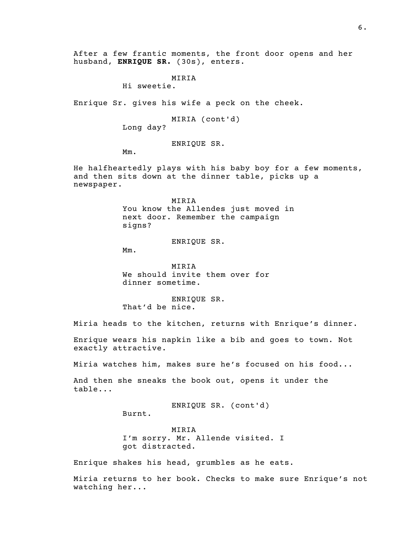After a few frantic moments, the front door opens and her husband, ENRIQUE SR. (30s), enters.

> MIRIA Hi sweetie.

Enrique Sr. gives his wife a peck on the cheek.

MIRIA (cont'd)

Long day?

ENRIQUE SR.

Mm.

He halfheartedly plays with his baby boy for a few moments, and then sits down at the dinner table, picks up a newspaper.

> MIRIA You know the Allendes just moved in next door. Remember the campaign signs?

> > ENRIQUE SR.

Mm.

MIRIA We should invite them over for dinner sometime.

ENRIQUE SR. That'd be nice.

Miria heads to the kitchen, returns with Enrique's dinner.

Enrique wears his napkin like a bib and goes to town. Not exactly attractive.

Miria watches him, makes sure he's focused on his food...

And then she sneaks the book out, opens it under the table...

ENRIQUE SR. (cont'd)

Burnt.

MIRIA I'm sorry. Mr. Allende visited. I got distracted.

Enrique shakes his head, grumbles as he eats.

Miria returns to her book. Checks to make sure Enrique's not watching her...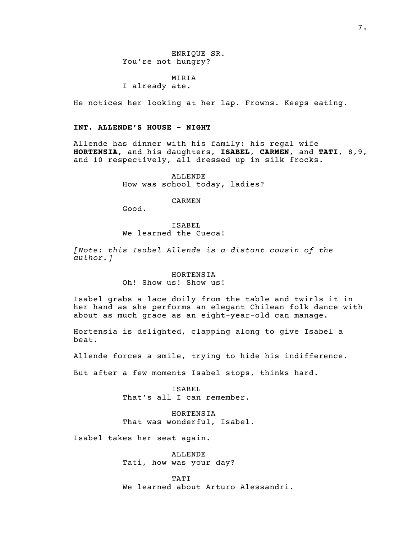ENRIQUE SR. You're not hungry?

MIRIA I already ate.

He notices her looking at her lap. Frowns. Keeps eating.

# INT. ALLENDE'S HOUSE - NIGHT

Good.

Allende has dinner with his family: his regal wife HORTENSIA, and his daughters, ISABEL, CARMEN, and TATI, 8,9, and 10 respectively, all dressed up in silk frocks.

> ALLENDE How was school today, ladies?

> > CARMEN

ISABEL

# We learned the Cueca!

[Note: this Isabel Allende is a distant cousin of the author.]

> HORTENSIA Oh! Show us! Show us!

Isabel grabs a lace doily from the table and twirls it in her hand as she performs an elegant Chilean folk dance with about as much grace as an eight-year-old can manage.

Hortensia is delighted, clapping along to give Isabel a beat.

Allende forces a smile, trying to hide his indifference.

But after a few moments Isabel stops, thinks hard.

ISABEL That's all I can remember.

HORTENSIA That was wonderful, Isabel.

Isabel takes her seat again.

ALLENDE Tati, how was your day?

TATI We learned about Arturo Alessandri.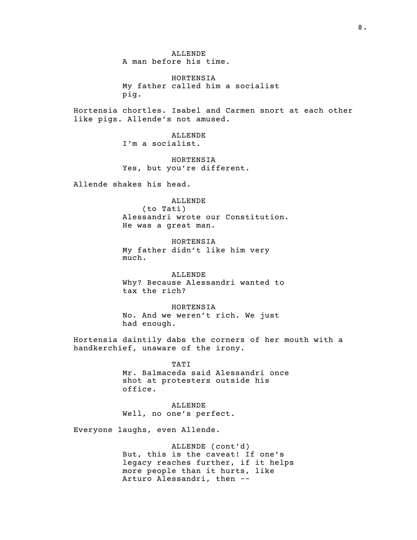ALLENDE A man before his time.

HORTENSIA My father called him a socialist pig.

Hortensia chortles. Isabel and Carmen snort at each other like pigs. Allende's not amused.

> ALLENDE I'm a socialist.

HORTENSIA Yes, but you're different.

Allende shakes his head.

ALLENDE  $(to$  Tati) Alessandri wrote our Constitution. He was a great man.

HORTENSIA My father didn't like him very much.

ALLENDE Why? Because Alessandri wanted to tax the rich?

HORTENSIA No. And we weren't rich. We just had enough.

Hortensia daintily dabs the corners of her mouth with a handkerchief, unaware of the irony.

> TATI Mr. Balmaceda said Alessandri once shot at protesters outside his office.

ALLENDE Well, no one's perfect.

Everyone laughs, even Allende.

ALLENDE (cont'd) But, this is the caveat! If one's legacy reaches further, if it helps more people than it hurts, like Arturo Alessandri, then --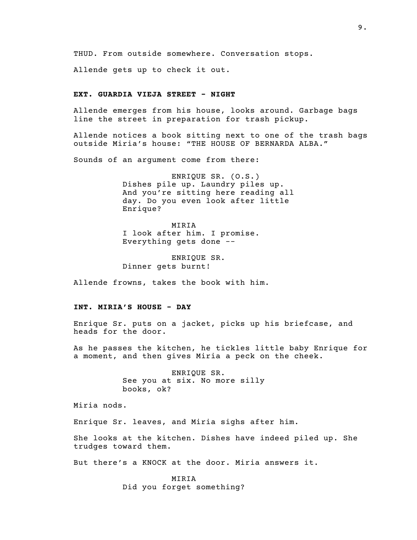THUD. From outside somewhere. Conversation stops.

Allende gets up to check it out.

## EXT. GUARDIA VIEJA STREET - NIGHT

Allende emerges from his house, looks around. Garbage bags line the street in preparation for trash pickup.

Allende notices a book sitting next to one of the trash bags outside Miria's house: "THE HOUSE OF BERNARDA ALBA."

Sounds of an argument come from there:

ENRIQUE SR. (O.S.) Dishes pile up. Laundry piles up. And you're sitting here reading all day. Do you even look after little Enrique?

MIRIA I look after him. I promise. Everything gets done --

ENRIQUE SR. Dinner gets burnt!

Allende frowns, takes the book with him.

## INT. MIRIA'S HOUSE - DAY

Enrique Sr. puts on a jacket, picks up his briefcase, and heads for the door.

As he passes the kitchen, he tickles little baby Enrique for a moment, and then gives Miria a peck on the cheek.

> ENRIQUE SR. See you at six. No more silly books, ok?

Miria nods.

Enrique Sr. leaves, and Miria sighs after him.

She looks at the kitchen. Dishes have indeed piled up. She trudges toward them.

But there's a KNOCK at the door. Miria answers it.

MIRIA Did you forget something?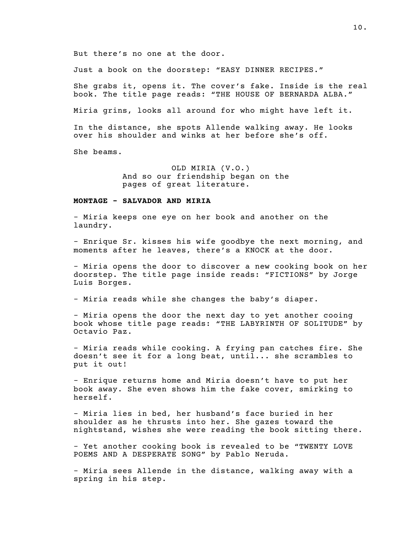But there's no one at the door.

Just a book on the doorstep: "EASY DINNER RECIPES."

She grabs it, opens it. The cover's fake. Inside is the real book. The title page reads: "THE HOUSE OF BERNARDA ALBA."

Miria grins, looks all around for who might have left it.

In the distance, she spots Allende walking away. He looks over his shoulder and winks at her before she's off.

She beams.

OLD MIRIA (V.O.) And so our friendship began on the pages of great literature.

### MONTAGE - SALVADOR AND MIRIA

- Miria keeps one eye on her book and another on the laundry.

- Enrique Sr. kisses his wife goodbye the next morning, and moments after he leaves, there's a KNOCK at the door.

- Miria opens the door to discover a new cooking book on her doorstep. The title page inside reads: "FICTIONS" by Jorge Luis Borges.

- Miria reads while she changes the baby's diaper.

- Miria opens the door the next day to yet another cooing book whose title page reads: "THE LABYRINTH OF SOLITUDE" by Octavio Paz.

- Miria reads while cooking. A frying pan catches fire. She doesn't see it for a long beat, until... she scrambles to put it out!

- Enrique returns home and Miria doesn't have to put her book away. She even shows him the fake cover, smirking to herself.

- Miria lies in bed, her husband's face buried in her shoulder as he thrusts into her. She gazes toward the nightstand, wishes she were reading the book sitting there.

- Yet another cooking book is revealed to be "TWENTY LOVE POEMS AND A DESPERATE SONG" by Pablo Neruda.

- Miria sees Allende in the distance, walking away with a spring in his step.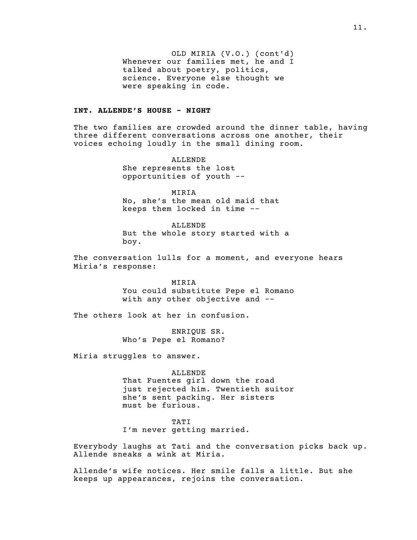OLD MIRIA (V.O.) (cont'd) Whenever our families met, he and I talked about poetry, politics, science. Everyone else thought we were speaking in code.

### INT. ALLENDE'S HOUSE - NIGHT

The two families are crowded around the dinner table, having three different conversations across one another, their voices echoing loudly in the small dining room.

> ALLENDE She represents the lost opportunities of youth --

MIRIA No, she's the mean old maid that keeps them locked in time --

ALLENDE But the whole story started with a boy.

The conversation lulls for a moment, and everyone hears Miria's response:

> MIRIA You could substitute Pepe el Romano with any other objective and --

The others look at her in confusion.

ENRIQUE SR. Who's Pepe el Romano?

Miria struggles to answer.

ALLENDE That Fuentes girl down the road just rejected him. Twentieth suitor she's sent packing. Her sisters must be furious.

TATI I'm never getting married.

Everybody laughs at Tati and the conversation picks back up. Allende sneaks a wink at Miria.

Allende's wife notices. Her smile falls a little. But she keeps up appearances, rejoins the conversation.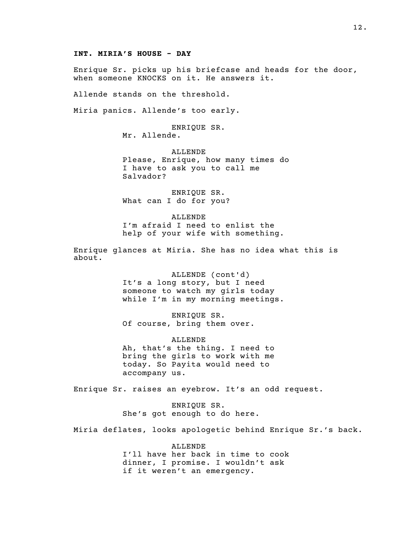#### INT. MIRIA'S HOUSE - DAY

Enrique Sr. picks up his briefcase and heads for the door, when someone KNOCKS on it. He answers it.

Allende stands on the threshold.

Miria panics. Allende's too early.

ENRIQUE SR. Mr. Allende.

ALLENDE Please, Enrique, how many times do I have to ask you to call me Salvador?

ENRIQUE SR. What can I do for you?

ALLENDE I'm afraid I need to enlist the help of your wife with something.

Enrique glances at Miria. She has no idea what this is about.

> ALLENDE (cont'd) It's a long story, but I need someone to watch my girls today while I'm in my morning meetings.

ENRIQUE SR. Of course, bring them over.

ALLENDE Ah, that's the thing. I need to bring the girls to work with me today. So Payita would need to accompany us.

Enrique Sr. raises an eyebrow. It's an odd request.

ENRIQUE SR. She's got enough to do here.

Miria deflates, looks apologetic behind Enrique Sr.'s back.

ALLENDE I'll have her back in time to cook dinner, I promise. I wouldn't ask if it weren't an emergency.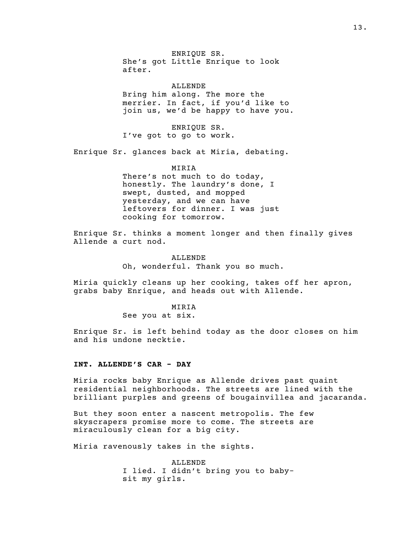ENRIQUE SR. She's got Little Enrique to look after.

ALLENDE Bring him along. The more the merrier. In fact, if you'd like to join us, we'd be happy to have you.

ENRIQUE SR. I've got to go to work.

Enrique Sr. glances back at Miria, debating.

#### MIRIA

There's not much to do today, honestly. The laundry's done, I swept, dusted, and mopped yesterday, and we can have leftovers for dinner. I was just cooking for tomorrow.

Enrique Sr. thinks a moment longer and then finally gives Allende a curt nod.

> ALLENDE Oh, wonderful. Thank you so much.

Miria quickly cleans up her cooking, takes off her apron, grabs baby Enrique, and heads out with Allende.

#### MIRIA

See you at six.

Enrique Sr. is left behind today as the door closes on him and his undone necktie.

## INT. ALLENDE'S CAR - DAY

Miria rocks baby Enrique as Allende drives past quaint residential neighborhoods. The streets are lined with the brilliant purples and greens of bougainvillea and jacaranda.

But they soon enter a nascent metropolis. The few skyscrapers promise more to come. The streets are miraculously clean for a big city.

Miria ravenously takes in the sights.

ALLENDE I lied. I didn't bring you to babysit my girls.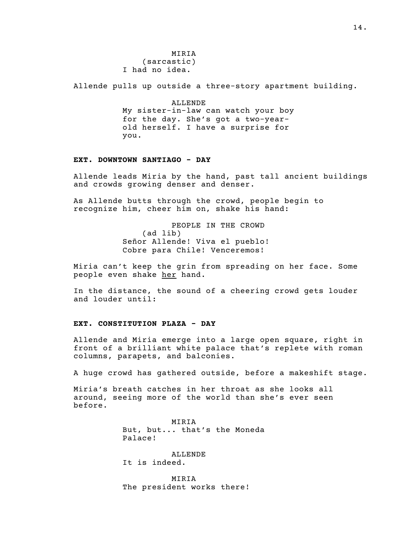MIRIA  $(sarcastic)$ I had no idea.

Allende pulls up outside a three-story apartment building.

ALLENDE My sister-in-law can watch your boy for the day. She's got a two-yearold herself. I have a surprise for you.

## EXT. DOWNTOWN SANTIAGO - DAY

Allende leads Miria by the hand, past tall ancient buildings and crowds growing denser and denser.

As Allende butts through the crowd, people begin to recognize him, cheer him on, shake his hand:

> PEOPLE IN THE CROWD  $(ad$  lib) Señor Allende! Viva el pueblo! Cobre para Chile! Venceremos!

Miria can't keep the grin from spreading on her face. Some people even shake her hand.

In the distance, the sound of a cheering crowd gets louder and louder until:

#### EXT. CONSTITUTION PLAZA - DAY

Allende and Miria emerge into a large open square, right in front of a brilliant white palace that's replete with roman columns, parapets, and balconies.

A huge crowd has gathered outside, before a makeshift stage.

Miria's breath catches in her throat as she looks all around, seeing more of the world than she's ever seen before.

> MIRIA But, but... that's the Moneda Palace!

ALLENDE It is indeed.

MIRIA The president works there!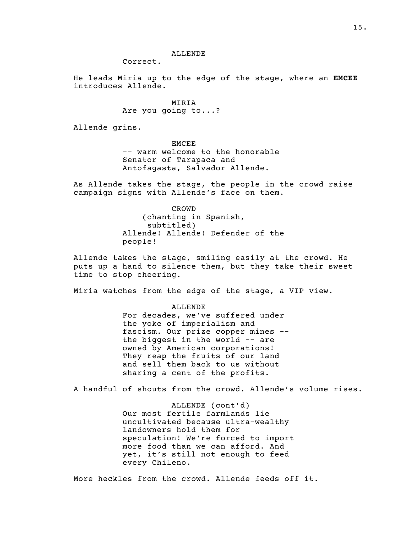#### ALLENDE

Correct.

He leads Miria up to the edge of the stage, where an EMCEE introduces Allende.

> MIRIA Are you going to...?

Allende grins.

EMCEE -- warm welcome to the honorable Senator of Tarapaca and Antofagasta, Salvador Allende.

As Allende takes the stage, the people in the crowd raise campaign signs with Allende's face on them.

> CROWD (chanting in Spanish, subtitled) Allende! Allende! Defender of the people!

Allende takes the stage, smiling easily at the crowd. He puts up a hand to silence them, but they take their sweet time to stop cheering.

Miria watches from the edge of the stage, a VIP view.

ALLENDE For decades, we've suffered under the yoke of imperialism and fascism. Our prize copper mines - the biggest in the world -- are owned by American corporations! They reap the fruits of our land and sell them back to us without sharing a cent of the profits.

A handful of shouts from the crowd. Allende's volume rises.

ALLENDE (cont'd) Our most fertile farmlands lie uncultivated because ultra-wealthy landowners hold them for speculation! We're forced to import more food than we can afford. And yet, it's still not enough to feed every Chileno.

More heckles from the crowd. Allende feeds off it.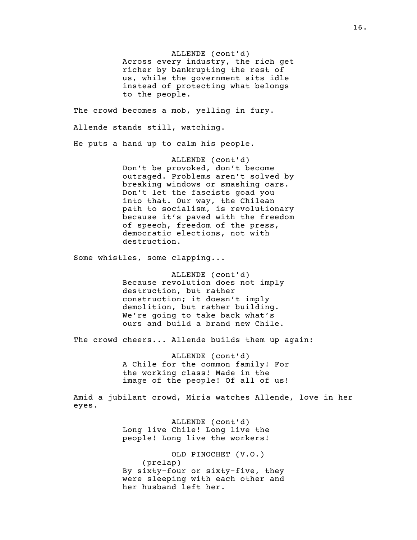ALLENDE (cont'd) Across every industry, the rich get richer by bankrupting the rest of us, while the government sits idle instead of protecting what belongs to the people.

The crowd becomes a mob, yelling in fury. Allende stands still, watching. He puts a hand up to calm his people.

> ALLENDE (cont'd) Don't be provoked, don't become outraged. Problems aren't solved by breaking windows or smashing cars. Don't let the fascists goad you into that. Our way, the Chilean path to socialism, is revolutionary because it's paved with the freedom of speech, freedom of the press, democratic elections, not with destruction.

Some whistles, some clapping...

ALLENDE (cont'd) Because revolution does not imply destruction, but rather construction; it doesn't imply demolition, but rather building. We're going to take back what's ours and build a brand new Chile.

The crowd cheers... Allende builds them up again:

ALLENDE (cont'd) A Chile for the common family! For the working class! Made in the image of the people! Of all of us!

Amid a jubilant crowd, Miria watches Allende, love in her eyes.

> ALLENDE (cont'd) Long live Chile! Long live the people! Long live the workers!

OLD PINOCHET (V.O.)  $(p$ relap $)$ By sixty-four or sixty-five, they were sleeping with each other and her husband left her.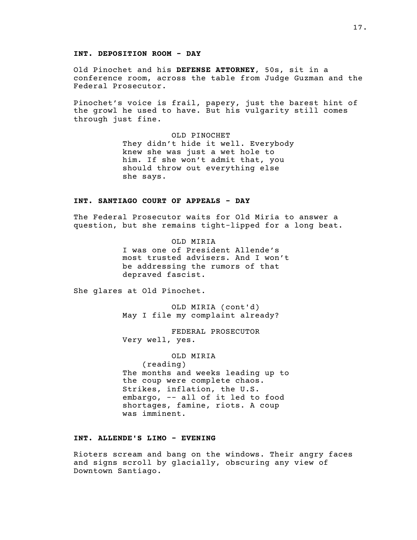#### INT. DEPOSITION ROOM - DAY

Old Pinochet and his DEFENSE ATTORNEY, 50s, sit in a conference room, across the table from Judge Guzman and the Federal Prosecutor.

Pinochet's voice is frail, papery, just the barest hint of the growl he used to have. But his vulgarity still comes through just fine.

> OLD PINOCHET They didn't hide it well. Everybody knew she was just a wet hole to him. If she won't admit that, you should throw out everything else she says.

### INT. SANTIAGO COURT OF APPEALS - DAY

The Federal Prosecutor waits for Old Miria to answer a question, but she remains tight-lipped for a long beat.

> OLD MIRIA I was one of President Allende's most trusted advisers. And I won't be addressing the rumors of that depraved fascist.

She glares at Old Pinochet.

OLD MIRIA (cont'd) May I file my complaint already?

FEDERAL PROSECUTOR Very well, yes.

OLD MIRIA  $(reading)$ The months and weeks leading up to the coup were complete chaos. Strikes, inflation, the U.S. embargo, -- all of it led to food shortages, famine, riots. A coup was imminent.

# INT. ALLENDE'S LIMO - EVENING

Rioters scream and bang on the windows. Their angry faces and signs scroll by glacially, obscuring any view of Downtown Santiago.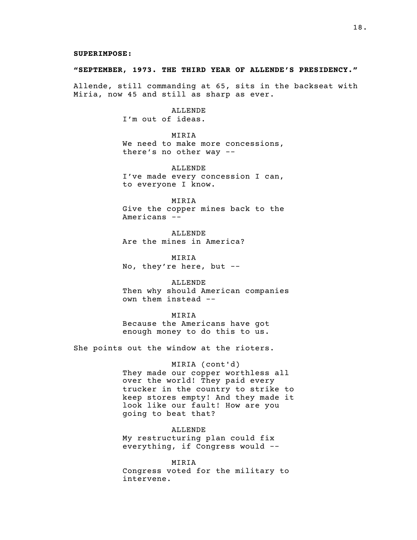#### "SEPTEMBER, 1973. THE THIRD YEAR OF ALLENDE'S PRESIDENCY."

Allende, still commanding at 65, sits in the backseat with Miria, now 45 and still as sharp as ever.

> ALLENDE I'm out of ideas.

MIRIA We need to make more concessions, there's no other way --

ALLENDE I've made every concession I can, to everyone I know.

MIRIA Give the copper mines back to the Americans --

ALLENDE Are the mines in America?

MIRIA No, they're here, but --

ALLENDE Then why should American companies own them instead --

MIRIA Because the Americans have got enough money to do this to us.

She points out the window at the rioters.

MIRIA (cont'd) They made our copper worthless all over the world! They paid every trucker in the country to strike to keep stores empty! And they made it look like our fault! How are you going to beat that?

ALLENDE My restructuring plan could fix everything, if Congress would --

MIRIA Congress voted for the military to intervene.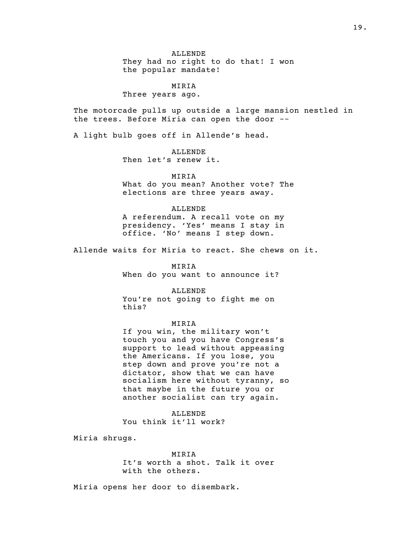ALLENDE They had no right to do that! I won the popular mandate!

MIRIA Three years ago.

The motorcade pulls up outside a large mansion nestled in the trees. Before Miria can open the door --

A light bulb goes off in Allende's head.

ALLENDE Then let's renew it.

MIRIA What do you mean? Another vote? The elections are three years away.

ALLENDE A referendum. A recall vote on my presidency. 'Yes' means I stay in office. 'No' means I step down.

Allende waits for Miria to react. She chews on it.

MIRIA When do you want to announce it?

ALLENDE You're not going to fight me on this?

MIRIA

If you win, the military won't touch you and you have Congress's support to lead without appeasing the Americans. If you lose, you step down and prove you're not a dictator, show that we can have socialism here without tyranny, so that maybe in the future you or another socialist can try again.

ALLENDE You think it'll work?

Miria shrugs.

MIRIA It's worth a shot. Talk it over with the others.

Miria opens her door to disembark.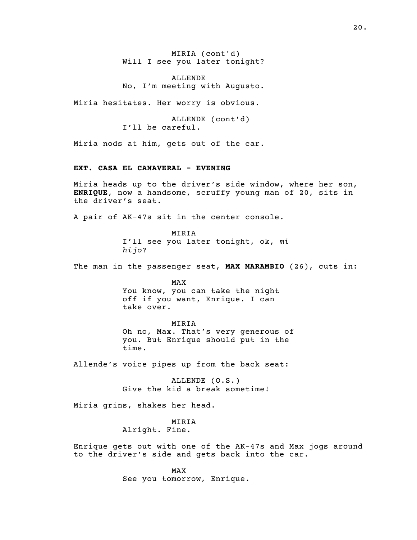MIRIA (cont'd) Will I see you later tonight?

ALLENDE No, I'm meeting with Augusto.

Miria hesitates. Her worry is obvious.

ALLENDE (cont'd) I'll be careful.

Miria nods at him, gets out of the car.

# EXT. CASA EL CANAVERAL - EVENING

Miria heads up to the driver's side window, where her son, ENRIQUE, now a handsome, scruffy young man of 20, sits in the driver's seat.

A pair of AK-47s sit in the center console.

MIRIA I'll see you later tonight, ok, mi hijo?

The man in the passenger seat, MAX MARAMBIO (26), cuts in:

MAX

You know, you can take the night off if you want, Enrique. I can take over.

#### MIRIA

Oh no, Max. That's very generous of you. But Enrique should put in the time.

Allende's voice pipes up from the back seat:

ALLENDE (O.S.) Give the kid a break sometime!

Miria grins, shakes her head.

MIRIA Alright. Fine.

Enrique gets out with one of the AK-47s and Max jogs around to the driver's side and gets back into the car.

> MAX See you tomorrow, Enrique.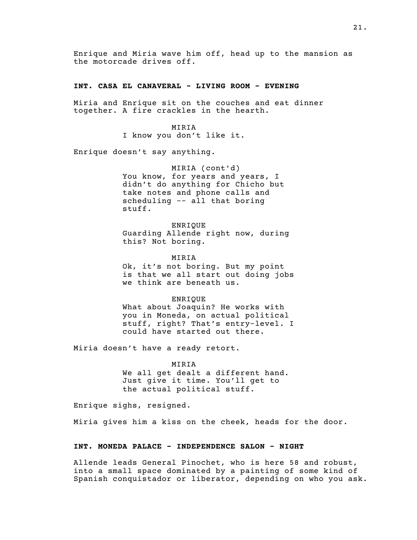Enrique and Miria wave him off, head up to the mansion as the motorcade drives off.

## INT. CASA EL CANAVERAL - LIVING ROOM - EVENING

Miria and Enrique sit on the couches and eat dinner together. A fire crackles in the hearth.

> MIRIA I know you don't like it.

Enrique doesn't say anything.

MIRIA (cont'd) You know, for years and years, I didn't do anything for Chicho but take notes and phone calls and scheduling -- all that boring stuff.

ENRIQUE Guarding Allende right now, during this? Not boring.

MIRIA Ok, it's not boring. But my point

is that we all start out doing jobs we think are beneath us.

ENRIQUE

What about Joaquin? He works with you in Moneda, on actual political stuff, right? That's entry-level. I could have started out there.

Miria doesn't have a ready retort.

## MIRIA

We all get dealt a different hand. Just give it time. You'll get to the actual political stuff.

Enrique sighs, resigned.

Miria gives him a kiss on the cheek, heads for the door.

## INT. MONEDA PALACE - INDEPENDENCE SALON - NIGHT

Allende leads General Pinochet, who is here 58 and robust, into a small space dominated by a painting of some kind of Spanish conquistador or liberator, depending on who you ask.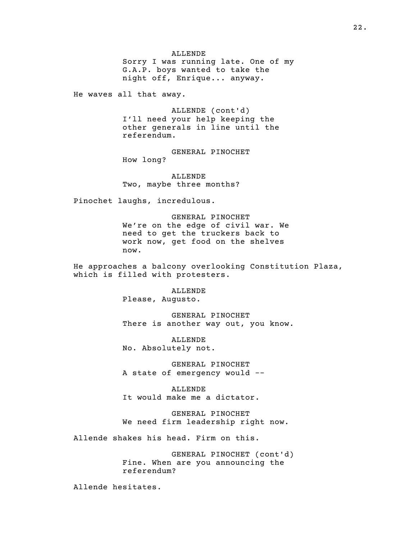ALLENDE

Sorry I was running late. One of my G.A.P. boys wanted to take the night off, Enrique... anyway.

He waves all that away.

ALLENDE (cont'd) I'll need your help keeping the other generals in line until the referendum.

GENERAL PINOCHET How long?

ALLENDE Two, maybe three months?

Pinochet laughs, incredulous.

GENERAL PINOCHET We're on the edge of civil war. We need to get the truckers back to work now, get food on the shelves now.

He approaches a balcony overlooking Constitution Plaza, which is filled with protesters.

> ALLENDE Please, Augusto.

GENERAL PINOCHET There is another way out, you know.

ALLENDE No. Absolutely not.

GENERAL PINOCHET A state of emergency would --

ALLENDE It would make me a dictator.

GENERAL PINOCHET We need firm leadership right now.

Allende shakes his head. Firm on this.

GENERAL PINOCHET (cont'd) Fine. When are you announcing the referendum?

Allende hesitates.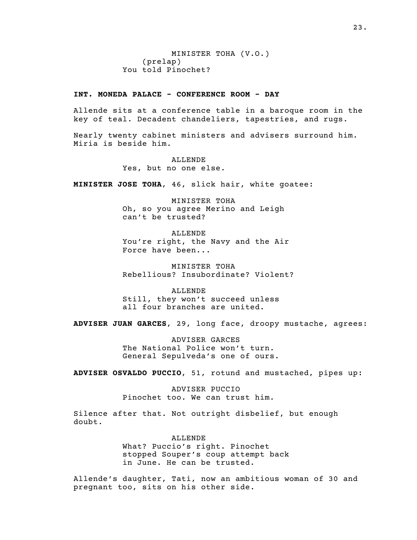MINISTER TOHA (V.O.)  $(p$  relap) You told Pinochet?

## INT. MONEDA PALACE - CONFERENCE ROOM - DAY

Allende sits at a conference table in a baroque room in the key of teal. Decadent chandeliers, tapestries, and rugs.

Nearly twenty cabinet ministers and advisers surround him. Miria is beside him.

> ALLENDE Yes, but no one else.

MINISTER JOSE TOHA, 46, slick hair, white goatee:

MINISTER TOHA Oh, so you agree Merino and Leigh can't be trusted?

ALLENDE You're right, the Navy and the Air Force have been...

MINISTER TOHA Rebellious? Insubordinate? Violent?

ALLENDE Still, they won't succeed unless all four branches are united.

ADVISER JUAN GARCES, 29, long face, droopy mustache, agrees:

ADVISER GARCES The National Police won't turn. General Sepulveda's one of ours.

ADVISER OSVALDO PUCCIO, 51, rotund and mustached, pipes up:

ADVISER PUCCIO Pinochet too. We can trust him.

Silence after that. Not outright disbelief, but enough doubt.

> ALLENDE What? Puccio's right. Pinochet stopped Souper's coup attempt back in June. He can be trusted.

Allende's daughter, Tati, now an ambitious woman of 30 and pregnant too, sits on his other side.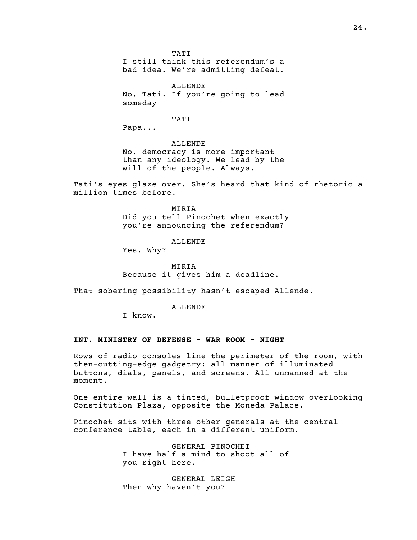TATI

I still think this referendum's a bad idea. We're admitting defeat.

ALLENDE No, Tati. If you're going to lead someday --

TATI

Papa...

ALLENDE No, democracy is more important than any ideology. We lead by the will of the people. Always.

Tati's eyes glaze over. She's heard that kind of rhetoric a million times before.

> MIRIA Did you tell Pinochet when exactly you're announcing the referendum?

> > ALLENDE

Yes. Why?

MIRIA Because it gives him a deadline.

That sobering possibility hasn't escaped Allende.

ALLENDE

I know.

#### INT. MINISTRY OF DEFENSE - WAR ROOM - NIGHT

Rows of radio consoles line the perimeter of the room, with then-cutting-edge gadgetry: all manner of illuminated buttons, dials, panels, and screens. All unmanned at the moment.

One entire wall is a tinted, bulletproof window overlooking Constitution Plaza, opposite the Moneda Palace.

Pinochet sits with three other generals at the central conference table, each in a different uniform.

> GENERAL PINOCHET I have half a mind to shoot all of you right here.

GENERAL LEIGH Then why haven't you?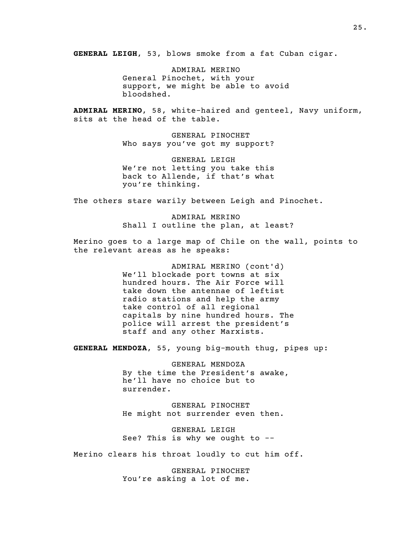GENERAL LEIGH, 53, blows smoke from a fat Cuban cigar.

ADMIRAL MERINO General Pinochet, with your support, we might be able to avoid bloodshed.

ADMIRAL MERINO, 58, white-haired and genteel, Navy uniform, sits at the head of the table.

> GENERAL PINOCHET Who says you've got my support?

> GENERAL LEIGH We're not letting you take this back to Allende, if that's what you're thinking.

The others stare warily between Leigh and Pinochet.

ADMIRAL MERINO Shall I outline the plan, at least?

Merino goes to a large map of Chile on the wall, points to the relevant areas as he speaks:

> ADMIRAL MERINO (cont'd) We'll blockade port towns at six hundred hours. The Air Force will take down the antennae of leftist radio stations and help the army take control of all regional capitals by nine hundred hours. The police will arrest the president's staff and any other Marxists.

GENERAL MENDOZA, 55, young big-mouth thug, pipes up:

GENERAL MENDOZA By the time the President's awake, he'll have no choice but to surrender.

GENERAL PINOCHET He might not surrender even then.

GENERAL LEIGH See? This is why we ought to --

Merino clears his throat loudly to cut him off.

GENERAL PINOCHET You're asking a lot of me.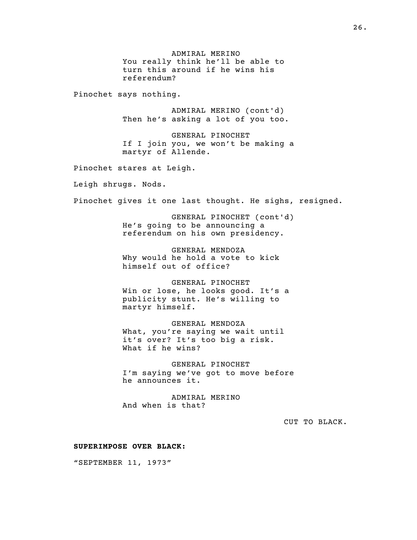ADMIRAL MERINO You really think he'll be able to turn this around if he wins his referendum? Pinochet says nothing. ADMIRAL MERINO (cont'd) Then he's asking a lot of you too. GENERAL PINOCHET If I join you, we won't be making a martyr of Allende. Pinochet stares at Leigh. Leigh shrugs. Nods. Pinochet gives it one last thought. He sighs, resigned. GENERAL PINOCHET (cont'd) He's going to be announcing a referendum on his own presidency. GENERAL MENDOZA Why would he hold a vote to kick himself out of office? GENERAL PINOCHET Win or lose, he looks good. It's a publicity stunt. He's willing to martyr himself. GENERAL MENDOZA What, you're saying we wait until it's over? It's too big a risk. What if he wins? GENERAL PINOCHET I'm saying we've got to move before he announces it. ADMIRAL MERINO And when is that? CUT TO BLACK. SUPERIMPOSE OVER BLACK: "SEPTEMBER 11, 1973"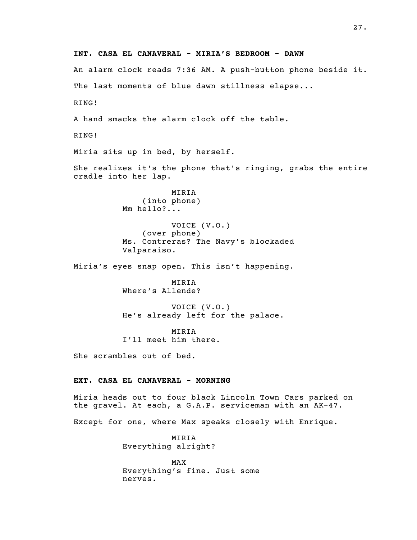INT. CASA EL CANAVERAL - MIRIA'S BEDROOM - DAWN An alarm clock reads 7:36 AM. A push-button phone beside it. The last moments of blue dawn stillness elapse... RING! A hand smacks the alarm clock off the table. RING! Miria sits up in bed, by herself. She realizes it's the phone that's ringing, grabs the entire cradle into her lap. MIRIA (into phone) Mm hello?... VOICE (V.O.) (over phone) Ms. Contreras? The Navy's blockaded Valparaiso. Miria's eyes snap open. This isn't happening. MIRIA Where's Allende? VOICE (V.O.) He's already left for the palace. MIRIA I'll meet him there. She scrambles out of bed. EXT. CASA EL CANAVERAL - MORNING Miria heads out to four black Lincoln Town Cars parked on the gravel. At each, a G.A.P. serviceman with an AK-47. Except for one, where Max speaks closely with Enrique. MIRIA Everything alright? MAX Everything's fine. Just some nerves.

27.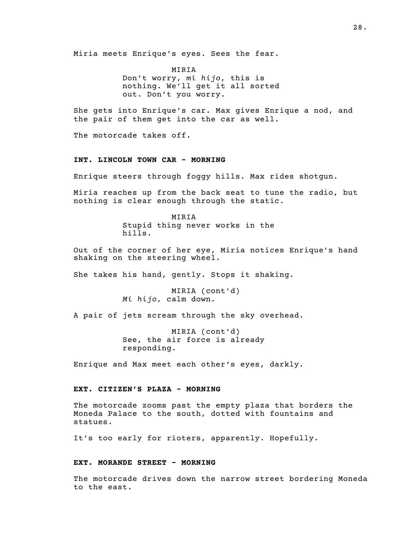Miria meets Enrique's eyes. Sees the fear.

MIRIA Don't worry, mi hijo, this is nothing. We'll get it all sorted out. Don't you worry.

She gets into Enrique's car. Max gives Enrique a nod, and the pair of them get into the car as well.

The motorcade takes off.

## INT. LINCOLN TOWN CAR - MORNING

Enrique steers through foggy hills. Max rides shotgun.

Miria reaches up from the back seat to tune the radio, but nothing is clear enough through the static.

> MIRIA Stupid thing never works in the hills.

Out of the corner of her eye, Miria notices Enrique's hand shaking on the steering wheel.

She takes his hand, gently. Stops it shaking.

MIRIA (cont'd) Mi hijo, calm down.

A pair of jets scream through the sky overhead.

MIRIA (cont'd) See, the air force is already responding.

Enrique and Max meet each other's eyes, darkly.

## EXT. CITIZEN'S PLAZA - MORNING

The motorcade zooms past the empty plaza that borders the Moneda Palace to the south, dotted with fountains and statues.

It's too early for rioters, apparently. Hopefully.

#### EXT. MORANDE STREET - MORNING

The motorcade drives down the narrow street bordering Moneda to the east.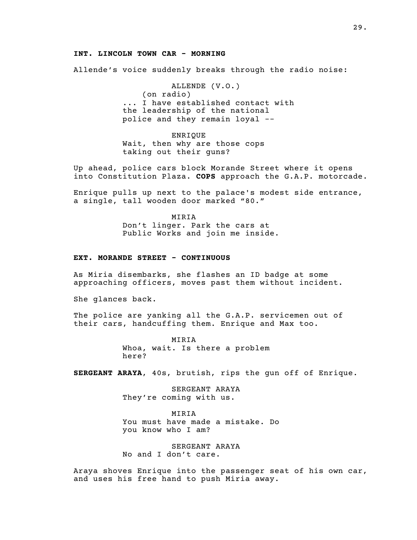#### INT. LINCOLN TOWN CAR - MORNING

Allende's voice suddenly breaks through the radio noise:

ALLENDE (V.O.)  $($ on radio $)$ ... I have established contact with the leadership of the national police and they remain loyal --

ENRIQUE Wait, then why are those cops taking out their guns?

Up ahead, police cars block Morande Street where it opens into Constitution Plaza. COPS approach the G.A.P. motorcade.

Enrique pulls up next to the palace's modest side entrance, a single, tall wooden door marked "80."

> MIRIA Don't linger. Park the cars at Public Works and join me inside.

#### EXT. MORANDE STREET - CONTINUOUS

As Miria disembarks, she flashes an ID badge at some approaching officers, moves past them without incident.

She glances back.

The police are yanking all the G.A.P. servicemen out of their cars, handcuffing them. Enrique and Max too.

> MIRIA Whoa, wait. Is there a problem here?

SERGEANT ARAYA, 40s, brutish, rips the gun off of Enrique.

SERGEANT ARAYA They're coming with us.

MIRIA You must have made a mistake. Do you know who I am?

SERGEANT ARAYA No and I don't care.

Araya shoves Enrique into the passenger seat of his own car, and uses his free hand to push Miria away.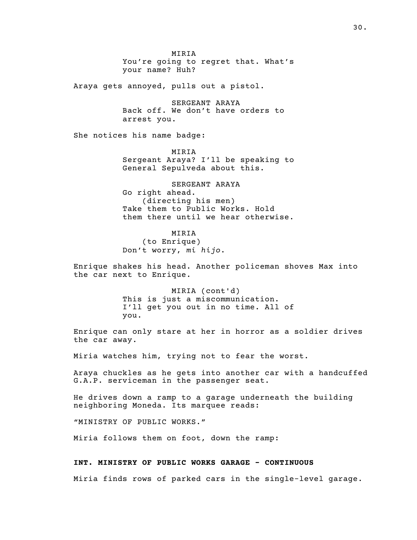MIRIA You're going to regret that. What's your name? Huh?

Araya gets annoyed, pulls out a pistol.

SERGEANT ARAYA Back off. We don't have orders to arrest you.

She notices his name badge:

MIRIA Sergeant Araya? I'll be speaking to General Sepulveda about this.

SERGEANT ARAYA Go right ahead. (directing his men) Take them to Public Works. Hold them there until we hear otherwise.

MIRIA (to Enrique) Don't worry, mi hijo.

Enrique shakes his head. Another policeman shoves Max into the car next to Enrique.

> MIRIA (cont'd) This is just a miscommunication. I'll get you out in no time. All of you.

Enrique can only stare at her in horror as a soldier drives the car away.

Miria watches him, trying not to fear the worst.

Araya chuckles as he gets into another car with a handcuffed G.A.P. serviceman in the passenger seat.

He drives down a ramp to a garage underneath the building neighboring Moneda. Its marquee reads:

"MINISTRY OF PUBLIC WORKS."

Miria follows them on foot, down the ramp:

#### INT. MINISTRY OF PUBLIC WORKS GARAGE - CONTINUOUS

Miria finds rows of parked cars in the single-level garage.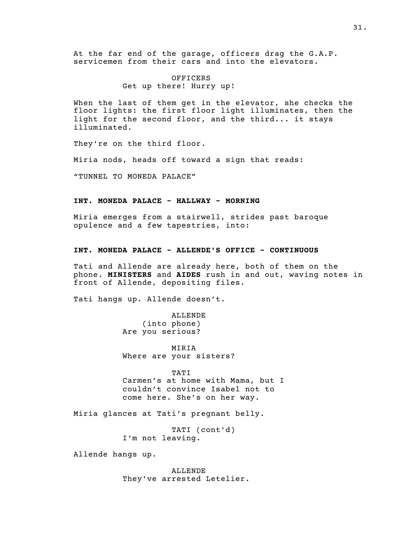At the far end of the garage, officers drag the G.A.P. servicemen from their cars and into the elevators.

## OFFICERS Get up there! Hurry up!

When the last of them get in the elevator, she checks the floor lights: the first floor light illuminates, then the light for the second floor, and the third... it stays illuminated.

They're on the third floor.

Miria nods, heads off toward a sign that reads:

"TUNNEL TO MONEDA PALACE"

#### INT. MONEDA PALACE - HALLWAY - MORNING

Miria emerges from a stairwell, strides past baroque opulence and a few tapestries, into:

#### INT. MONEDA PALACE - ALLENDE'S OFFICE - CONTINUOUS

Tati and Allende are already here, both of them on the phone. MINISTERS and AIDES rush in and out, waving notes in front of Allende, depositing files.

Tati hangs up. Allende doesn't.

ALLENDE (into phone) Are you serious?

MIRIA Where are your sisters?

TATI Carmen's at home with Mama, but I couldn't convince Isabel not to come here. She's on her way.

Miria glances at Tati's pregnant belly.

TATI (cont'd) I'm not leaving.

Allende hangs up.

ALLENDE They've arrested Letelier.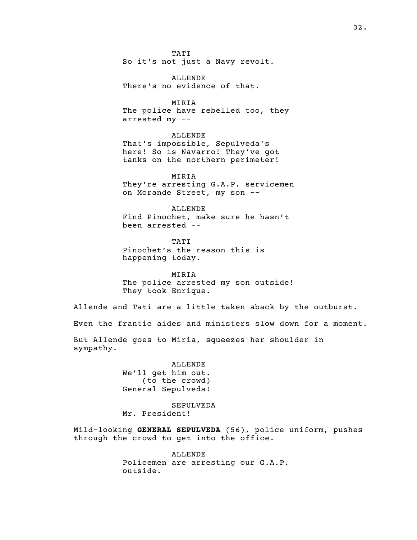TATI So it's not just a Navy revolt.

ALLENDE There's no evidence of that.

MIRIA The police have rebelled too, they arrested my --

ALLENDE That's impossible, Sepulveda's here! So is Navarro! They've got tanks on the northern perimeter!

MIRIA They're arresting G.A.P. servicemen on Morande Street, my son --

ALLENDE Find Pinochet, make sure he hasn't been arrested --

TATI Pinochet's the reason this is happening today.

MIRIA The police arrested my son outside! They took Enrique.

Allende and Tati are a little taken aback by the outburst.

Even the frantic aides and ministers slow down for a moment.

But Allende goes to Miria, squeezes her shoulder in sympathy.

> ALLENDE We'll get him out. (to the crowd) General Sepulveda!

SEPULVEDA Mr. President!

Mild-looking GENERAL SEPULVEDA (56), police uniform, pushes through the crowd to get into the office.

> ALLENDE Policemen are arresting our G.A.P. outside.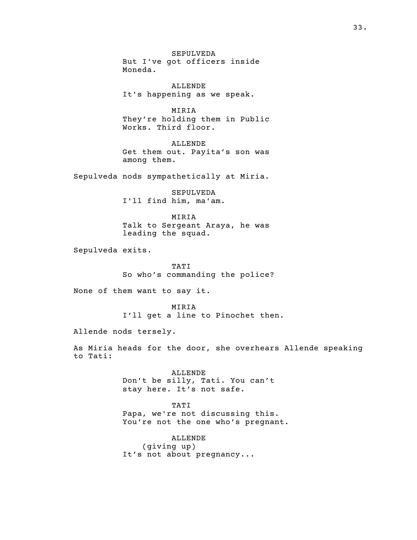SEPULVEDA But I've got officers inside Moneda.

ALLENDE It's happening as we speak.

MIRIA They're holding them in Public Works. Third floor.

ALLENDE Get them out. Payita's son was among them.

Sepulveda nods sympathetically at Miria.

SEPULVEDA I'll find him, ma'am.

MIRIA Talk to Sergeant Araya, he was leading the squad.

Sepulveda exits.

TATI So who's commanding the police?

None of them want to say it.

MIRIA I'll get a line to Pinochet then.

Allende nods tersely.

As Miria heads for the door, she overhears Allende speaking to Tati:

> ALLENDE Don't be silly, Tati. You can't stay here. It's not safe.

TATI Papa, we're not discussing this. You're not the one who's pregnant.

ALLENDE  $(giving$  up) It's not about pregnancy...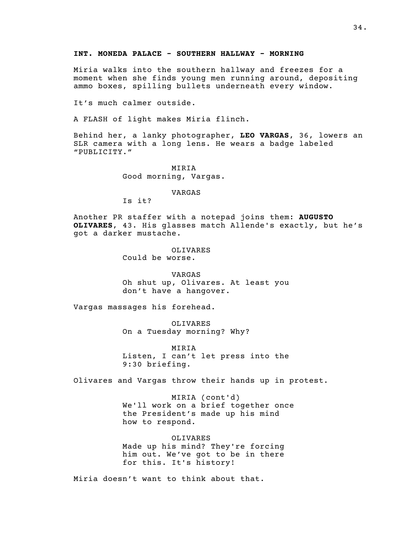Miria walks into the southern hallway and freezes for a moment when she finds young men running around, depositing ammo boxes, spilling bullets underneath every window.

It's much calmer outside.

A FLASH of light makes Miria flinch.

Behind her, a lanky photographer, LEO VARGAS, 36, lowers an SLR camera with a long lens. He wears a badge labeled "PUBLICITY."

> MIRIA Good morning, Vargas.

> > VARGAS

Is it?

Another PR staffer with a notepad joins them: AUGUSTO OLIVARES, 43. His glasses match Allende's exactly, but he's got a darker mustache.

> OLIVARES Could be worse.

VARGAS Oh shut up, Olivares. At least you don't have a hangover.

Vargas massages his forehead.

OLIVARES On a Tuesday morning? Why?

MIRIA Listen, I can't let press into the 9:30 briefing.

Olivares and Vargas throw their hands up in protest.

MIRIA (cont'd) We'll work on a brief together once the President's made up his mind how to respond.

OLIVARES Made up his mind? They're forcing him out. We've got to be in there for this. It's history!

Miria doesn't want to think about that.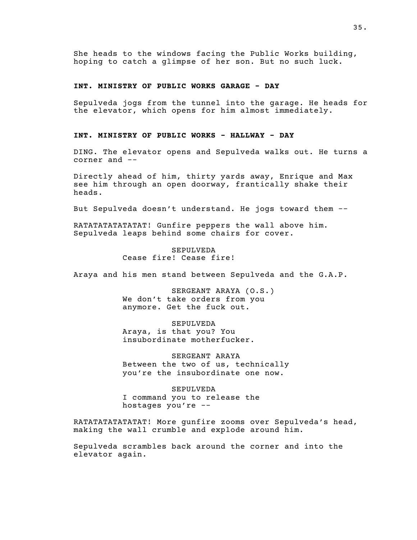She heads to the windows facing the Public Works building, hoping to catch a glimpse of her son. But no such luck.

## INT. MINISTRY OF PUBLIC WORKS GARAGE - DAY

Sepulveda jogs from the tunnel into the garage. He heads for the elevator, which opens for him almost immediately.

#### INT. MINISTRY OF PUBLIC WORKS - HALLWAY - DAY

DING. The elevator opens and Sepulveda walks out. He turns a corner and --

Directly ahead of him, thirty yards away, Enrique and Max see him through an open doorway, frantically shake their heads.

But Sepulveda doesn't understand. He jogs toward them --

RATATATATATATAT! Gunfire peppers the wall above him. Sepulveda leaps behind some chairs for cover.

> SEPULVEDA Cease fire! Cease fire!

Araya and his men stand between Sepulveda and the G.A.P.

SERGEANT ARAYA (O.S.) We don't take orders from you anymore. Get the fuck out.

SEPULVEDA Araya, is that you? You insubordinate motherfucker.

SERGEANT ARAYA Between the two of us, technically you're the insubordinate one now.

SEPULVEDA I command you to release the hostages you're --

RATATATATATATAT! More gunfire zooms over Sepulveda's head, making the wall crumble and explode around him.

Sepulveda scrambles back around the corner and into the elevator again.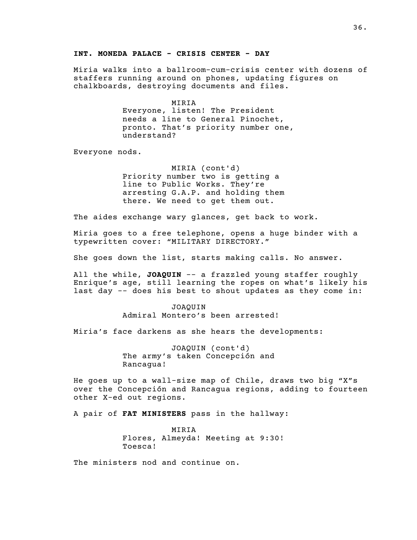#### INT. MONEDA PALACE - CRISIS CENTER - DAY

Miria walks into a ballroom-cum-crisis center with dozens of staffers running around on phones, updating figures on chalkboards, destroying documents and files.

> MIRIA Everyone, listen! The President needs a line to General Pinochet, pronto. That's priority number one, understand?

Everyone nods.

MIRIA (cont'd) Priority number two is getting a line to Public Works. They're arresting G.A.P. and holding them there. We need to get them out.

The aides exchange wary glances, get back to work.

Miria goes to a free telephone, opens a huge binder with a typewritten cover: "MILITARY DIRECTORY."

She goes down the list, starts making calls. No answer.

All the while, JOAQUIN -- a frazzled young staffer roughly Enrique's age, still learning the ropes on what's likely his last day -- does his best to shout updates as they come in:

> JOAQUIN Admiral Montero's been arrested!

Miria's face darkens as she hears the developments:

JOAQUIN (cont'd) The army's taken Concepción and Rancagua!

He goes up to a wall-size map of Chile, draws two big "X"s over the Concepción and Rancagua regions, adding to fourteen other X-ed out regions.

A pair of FAT MINISTERS pass in the hallway:

MIRIA Flores, Almeyda! Meeting at 9:30! Toesca!

The ministers nod and continue on.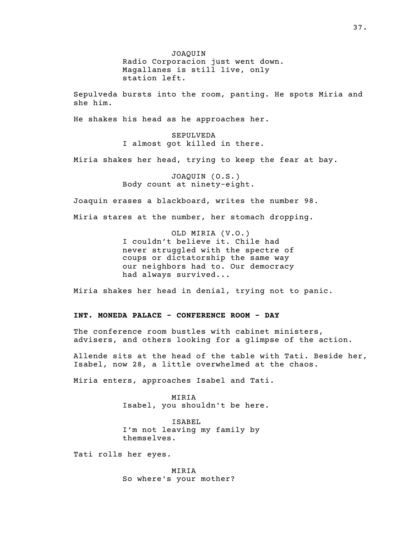JOAQUIN Radio Corporacion just went down. Magallanes is still live, only station left.

Sepulveda bursts into the room, panting. He spots Miria and she him.

He shakes his head as he approaches her.

SEPULVEDA I almost got killed in there.

Miria shakes her head, trying to keep the fear at bay.

JOAQUIN (O.S.) Body count at ninety-eight.

Joaquin erases a blackboard, writes the number 98.

Miria stares at the number, her stomach dropping.

OLD MIRIA (V.O.) I couldn't believe it. Chile had never struggled with the spectre of coups or dictatorship the same way our neighbors had to. Our democracy had always survived...

Miria shakes her head in denial, trying not to panic.

# INT. MONEDA PALACE - CONFERENCE ROOM - DAY

The conference room bustles with cabinet ministers, advisers, and others looking for a glimpse of the action.

Allende sits at the head of the table with Tati. Beside her, Isabel, now 28, a little overwhelmed at the chaos.

Miria enters, approaches Isabel and Tati.

MIRIA Isabel, you shouldn't be here.

ISABEL I'm not leaving my family by themselves.

Tati rolls her eyes.

MIRIA So where's your mother?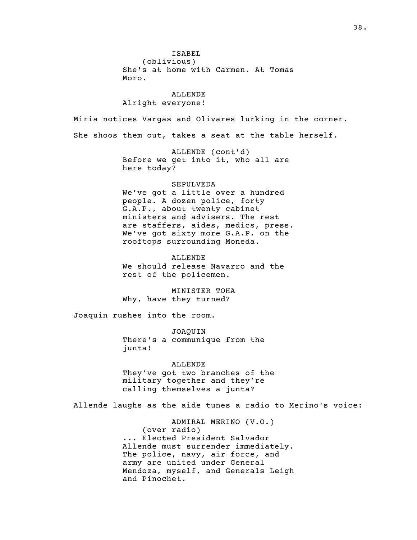ISABEL (oblivious) She's at home with Carmen. At Tomas Moro. ALLENDE Alright everyone! Miria notices Vargas and Olivares lurking in the corner. She shoos them out, takes a seat at the table herself. ALLENDE (cont'd) Before we get into it, who all are here today? SEPULVEDA We've got a little over a hundred people. A dozen police, forty G.A.P., about twenty cabinet ministers and advisers. The rest are staffers, aides, medics, press. We've got sixty more G.A.P. on the rooftops surrounding Moneda. ALLENDE We should release Navarro and the rest of the policemen. MINISTER TOHA Why, have they turned? Joaquin rushes into the room. JOAQUIN There's a communique from the junta! ALLENDE They've got two branches of the military together and they're calling themselves a junta? Allende laughs as the aide tunes a radio to Merino's voice: ADMIRAL MERINO (V.O.) (over radio)

... Elected President Salvador Allende must surrender immediately. The police, navy, air force, and army are united under General Mendoza, myself, and Generals Leigh and Pinochet.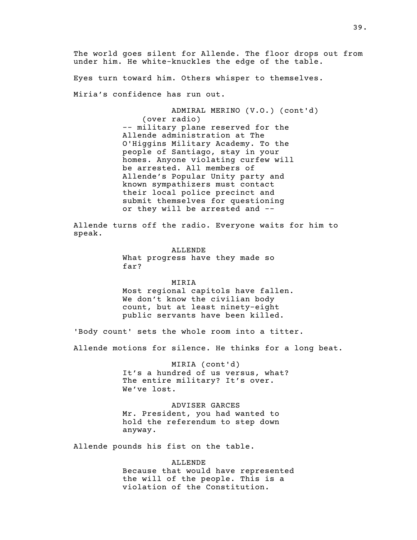The world goes silent for Allende. The floor drops out from under him. He white-knuckles the edge of the table.

Eyes turn toward him. Others whisper to themselves.

Miria's confidence has run out.

ADMIRAL MERINO (V.O.) (cont'd) (over radio) -- military plane reserved for the Allende administration at The O'Higgins Military Academy. To the people of Santiago, stay in your homes. Anyone violating curfew will be arrested. All members of Allende's Popular Unity party and known sympathizers must contact their local police precinct and submit themselves for questioning or they will be arrested and --

Allende turns off the radio. Everyone waits for him to speak.

> ALLENDE What progress have they made so far?

MIRIA Most regional capitols have fallen. We don't know the civilian body count, but at least ninety-eight public servants have been killed.

'Body count' sets the whole room into a titter.

Allende motions for silence. He thinks for a long beat.

MIRIA (cont'd) It's a hundred of us versus, what? The entire military? It's over. We've lost.

ADVISER GARCES Mr. President, you had wanted to hold the referendum to step down anyway.

Allende pounds his fist on the table.

ALLENDE Because that would have represented the will of the people. This is a violation of the Constitution.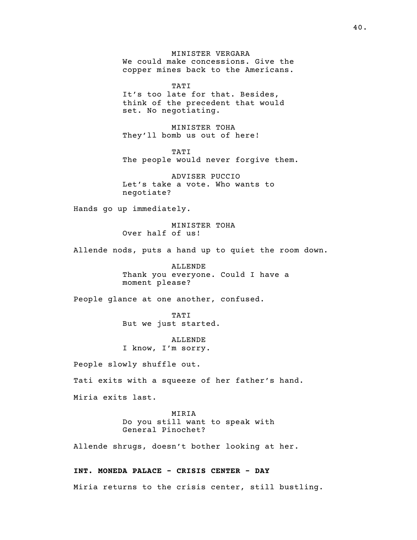MINISTER VERGARA We could make concessions. Give the copper mines back to the Americans.

TATI It's too late for that. Besides, think of the precedent that would set. No negotiating.

MINISTER TOHA They'll bomb us out of here!

TATI The people would never forgive them.

ADVISER PUCCIO Let's take a vote. Who wants to negotiate?

Hands go up immediately.

MINISTER TOHA Over half of us!

Allende nods, puts a hand up to quiet the room down.

ALLENDE Thank you everyone. Could I have a moment please?

People glance at one another, confused.

TATI But we just started.

ALLENDE I know, I'm sorry.

People slowly shuffle out.

Tati exits with a squeeze of her father's hand.

Miria exits last.

MIRIA

Do you still want to speak with General Pinochet?

Allende shrugs, doesn't bother looking at her.

#### INT. MONEDA PALACE - CRISIS CENTER - DAY

Miria returns to the crisis center, still bustling.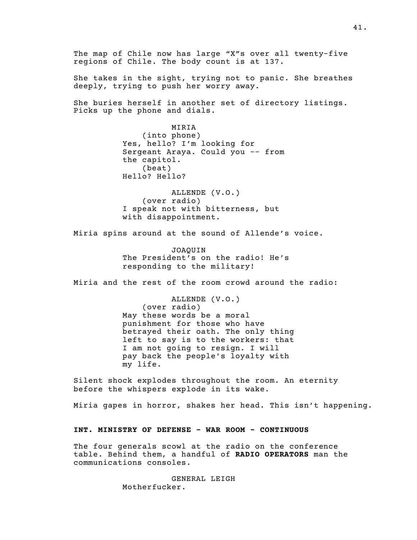The map of Chile now has large "X"s over all twenty-five regions of Chile. The body count is at 137. She takes in the sight, trying not to panic. She breathes deeply, trying to push her worry away. She buries herself in another set of directory listings. Picks up the phone and dials. MIRIA (into phone) Yes, hello? I'm looking for Sergeant Araya. Could you -- from the capitol.  $(b$ eat $)$ Hello? Hello? ALLENDE (V.O.) (over radio) I speak not with bitterness, but with disappointment. Miria spins around at the sound of Allende's voice. JOAQUIN The President's on the radio! He's responding to the military! Miria and the rest of the room crowd around the radio: ALLENDE (V.O.) (over radio) May these words be a moral punishment for those who have betrayed their oath. The only thing left to say is to the workers: that I am not going to resign. I will pay back the people's loyalty with my life. Silent shock explodes throughout the room. An eternity before the whispers explode in its wake. Miria gapes in horror, shakes her head. This isn't happening. INT. MINISTRY OF DEFENSE - WAR ROOM - CONTINUOUS The four generals scowl at the radio on the conference table. Behind them, a handful of RADIO OPERATORS man the communications consoles. GENERAL LEIGH

Motherfucker.

41.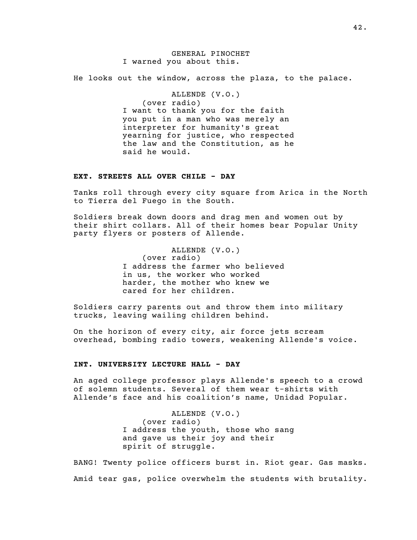He looks out the window, across the plaza, to the palace.

ALLENDE (V.O.) (over radio) I want to thank you for the faith you put in a man who was merely an interpreter for humanity's great yearning for justice, who respected the law and the Constitution, as he said he would.

# EXT. STREETS ALL OVER CHILE - DAY

Tanks roll through every city square from Arica in the North to Tierra del Fuego in the South.

Soldiers break down doors and drag men and women out by their shirt collars. All of their homes bear Popular Unity party flyers or posters of Allende.

> ALLENDE (V.O.) (over radio) I address the farmer who believed in us, the worker who worked harder, the mother who knew we cared for her children.

Soldiers carry parents out and throw them into military trucks, leaving wailing children behind.

On the horizon of every city, air force jets scream overhead, bombing radio towers, weakening Allende's voice.

# INT. UNIVERSITY LECTURE HALL - DAY

An aged college professor plays Allende's speech to a crowd of solemn students. Several of them wear t-shirts with Allende's face and his coalition's name, Unidad Popular.

> ALLENDE (V.O.) (over radio) I address the youth, those who sang and gave us their joy and their spirit of struggle.

BANG! Twenty police officers burst in. Riot gear. Gas masks. Amid tear gas, police overwhelm the students with brutality.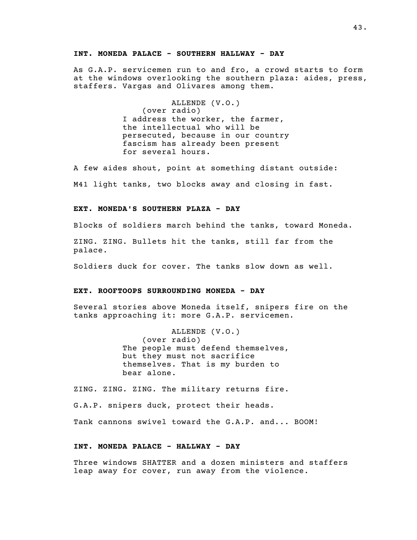#### INT. MONEDA PALACE - SOUTHERN HALLWAY - DAY

As G.A.P. servicemen run to and fro, a crowd starts to form at the windows overlooking the southern plaza: aides, press, staffers. Vargas and Olivares among them.

> ALLENDE (V.O.) (over radio) I address the worker, the farmer, the intellectual who will be persecuted, because in our country fascism has already been present for several hours.

A few aides shout, point at something distant outside: M41 light tanks, two blocks away and closing in fast.

#### EXT. MONEDA'S SOUTHERN PLAZA - DAY

Blocks of soldiers march behind the tanks, toward Moneda.

ZING. ZING. Bullets hit the tanks, still far from the palace.

Soldiers duck for cover. The tanks slow down as well.

#### EXT. ROOFTOOPS SURROUNDING MONEDA - DAY

Several stories above Moneda itself, snipers fire on the tanks approaching it: more G.A.P. servicemen.

> ALLENDE (V.O.) (over radio) The people must defend themselves, but they must not sacrifice themselves. That is my burden to bear alone.

ZING. ZING. ZING. The military returns fire.

G.A.P. snipers duck, protect their heads.

Tank cannons swivel toward the G.A.P. and... BOOM!

#### INT. MONEDA PALACE - HALLWAY - DAY

Three windows SHATTER and a dozen ministers and staffers leap away for cover, run away from the violence.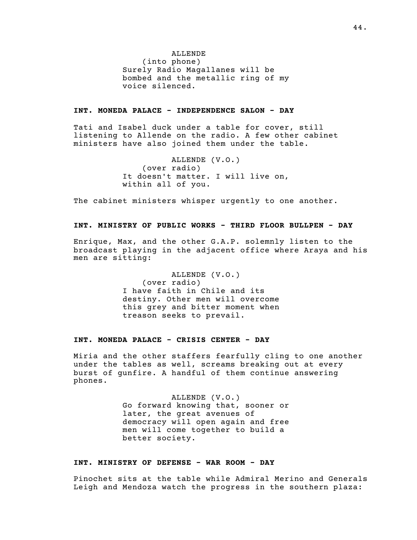ALLENDE  $(into phone)$ Surely Radio Magallanes will be bombed and the metallic ring of my voice silenced.

#### INT. MONEDA PALACE - INDEPENDENCE SALON - DAY

Tati and Isabel duck under a table for cover, still listening to Allende on the radio. A few other cabinet ministers have also joined them under the table.

> ALLENDE (V.O.) (over radio) It doesn't matter. I will live on, within all of you.

The cabinet ministers whisper urgently to one another.

# INT. MINISTRY OF PUBLIC WORKS - THIRD FLOOR BULLPEN - DAY

Enrique, Max, and the other G.A.P. solemnly listen to the broadcast playing in the adjacent office where Araya and his men are sitting:

> ALLENDE (V.O.) (over radio) I have faith in Chile and its destiny. Other men will overcome this grey and bitter moment when treason seeks to prevail.

# INT. MONEDA PALACE - CRISIS CENTER - DAY

Miria and the other staffers fearfully cling to one another under the tables as well, screams breaking out at every burst of gunfire. A handful of them continue answering phones.

> ALLENDE (V.O.) Go forward knowing that, sooner or later, the great avenues of democracy will open again and free men will come together to build a better society.

# INT. MINISTRY OF DEFENSE - WAR ROOM - DAY

Pinochet sits at the table while Admiral Merino and Generals Leigh and Mendoza watch the progress in the southern plaza: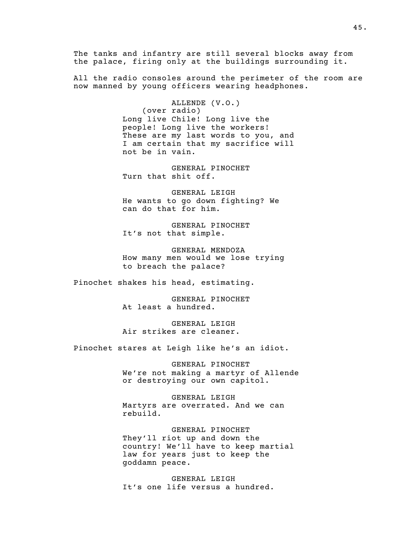The tanks and infantry are still several blocks away from the palace, firing only at the buildings surrounding it.

All the radio consoles around the perimeter of the room are now manned by young officers wearing headphones.

> ALLENDE (V.O.) (over radio) Long live Chile! Long live the people! Long live the workers! These are my last words to you, and I am certain that my sacrifice will not be in vain.

GENERAL PINOCHET Turn that shit off.

GENERAL LEIGH He wants to go down fighting? We can do that for him.

GENERAL PINOCHET It's not that simple.

GENERAL MENDOZA How many men would we lose trying to breach the palace?

Pinochet shakes his head, estimating.

GENERAL PINOCHET At least a hundred.

GENERAL LEIGH Air strikes are cleaner.

Pinochet stares at Leigh like he's an idiot.

GENERAL PINOCHET We're not making a martyr of Allende or destroying our own capitol.

GENERAL LEIGH Martyrs are overrated. And we can rebuild.

GENERAL PINOCHET They'll riot up and down the country! We'll have to keep martial law for years just to keep the goddamn peace.

GENERAL LEIGH It's one life versus a hundred.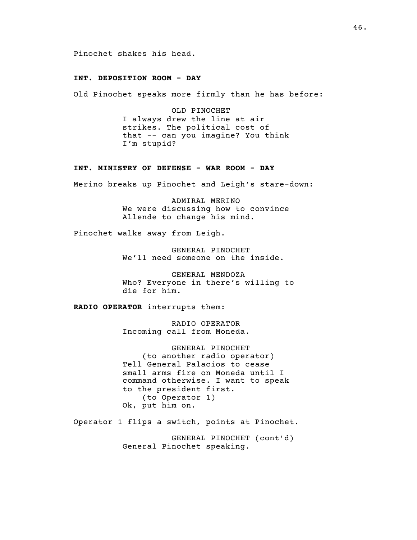Pinochet shakes his head.

# INT. DEPOSITION ROOM - DAY

Old Pinochet speaks more firmly than he has before:

OLD PINOCHET I always drew the line at air strikes. The political cost of that -- can you imagine? You think I'm stupid?

#### INT. MINISTRY OF DEFENSE - WAR ROOM - DAY

Merino breaks up Pinochet and Leigh's stare-down:

ADMIRAL MERINO We were discussing how to convince Allende to change his mind.

Pinochet walks away from Leigh.

GENERAL PINOCHET We'll need someone on the inside.

GENERAL MENDOZA Who? Everyone in there's willing to die for him.

RADIO OPERATOR interrupts them:

RADIO OPERATOR Incoming call from Moneda.

GENERAL PINOCHET (to another radio operator) Tell General Palacios to cease small arms fire on Moneda until I command otherwise. I want to speak to the president first. (to Operator 1) Ok, put him on.

Operator 1 flips a switch, points at Pinochet.

GENERAL PINOCHET (cont'd) General Pinochet speaking.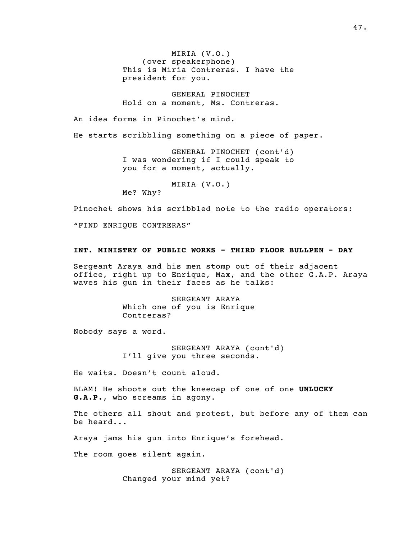MIRIA (V.O.) (over speakerphone) This is Miria Contreras. I have the president for you.

GENERAL PINOCHET Hold on a moment, Ms. Contreras.

An idea forms in Pinochet's mind.

He starts scribbling something on a piece of paper.

GENERAL PINOCHET (cont'd) I was wondering if I could speak to you for a moment, actually.

MIRIA (V.O.)

Me? Why?

Pinochet shows his scribbled note to the radio operators:

"FIND ENRIQUE CONTRERAS"

#### INT. MINISTRY OF PUBLIC WORKS - THIRD FLOOR BULLPEN - DAY

Sergeant Araya and his men stomp out of their adjacent office, right up to Enrique, Max, and the other G.A.P. Araya waves his gun in their faces as he talks:

> SERGEANT ARAYA Which one of you is Enrique Contreras?

Nobody says a word.

SERGEANT ARAYA (cont'd) I'll give you three seconds.

He waits. Doesn't count aloud.

BLAM! He shoots out the kneecap of one of one UNLUCKY G.A.P., who screams in agony.

The others all shout and protest, but before any of them can be heard...

Araya jams his gun into Enrique's forehead.

The room goes silent again.

SERGEANT ARAYA (cont'd) Changed your mind yet?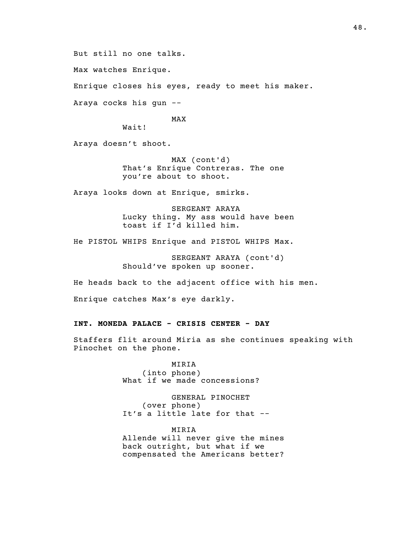But still no one talks.

Max watches Enrique.

Enrique closes his eyes, ready to meet his maker.

Araya cocks his gun --

MAX

Wait!

Araya doesn't shoot.

MAX (cont'd) That's Enrique Contreras. The one you're about to shoot.

Araya looks down at Enrique, smirks.

SERGEANT ARAYA Lucky thing. My ass would have been toast if I'd killed him.

He PISTOL WHIPS Enrique and PISTOL WHIPS Max.

SERGEANT ARAYA (cont'd) Should've spoken up sooner.

He heads back to the adjacent office with his men.

Enrique catches Max's eye darkly.

# INT. MONEDA PALACE - CRISIS CENTER - DAY

Staffers flit around Miria as she continues speaking with Pinochet on the phone.

> MIRIA (into phone) What if we made concessions?

GENERAL PINOCHET (over phone) It's a little late for that --

MIRIA Allende will never give the mines back outright, but what if we compensated the Americans better?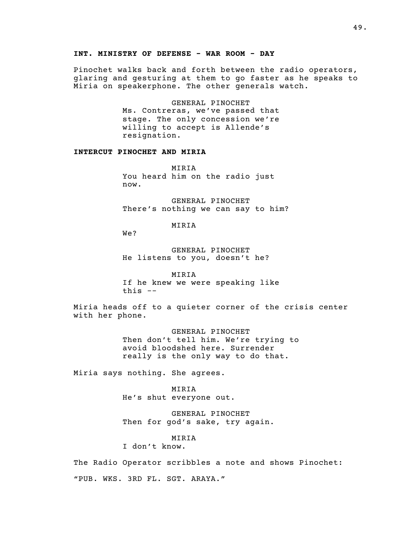#### INT. MINISTRY OF DEFENSE - WAR ROOM - DAY

Pinochet walks back and forth between the radio operators, glaring and gesturing at them to go faster as he speaks to Miria on speakerphone. The other generals watch.

> GENERAL PINOCHET Ms. Contreras, we've passed that stage. The only concession we're willing to accept is Allende's resignation.

# INTERCUT PINOCHET AND MIRIA

MIRIA You heard him on the radio just now.

GENERAL PINOCHET There's nothing we can say to him?

MIRIA

We?

GENERAL PINOCHET He listens to you, doesn't he?

MIRIA If he knew we were speaking like this  $-$ 

Miria heads off to a quieter corner of the crisis center with her phone.

> GENERAL PINOCHET Then don't tell him. We're trying to avoid bloodshed here. Surrender really is the only way to do that.

Miria says nothing. She agrees.

MIRIA He's shut everyone out.

GENERAL PINOCHET Then for god's sake, try again.

MIRIA

I don't know.

The Radio Operator scribbles a note and shows Pinochet: "PUB. WKS. 3RD FL. SGT. ARAYA."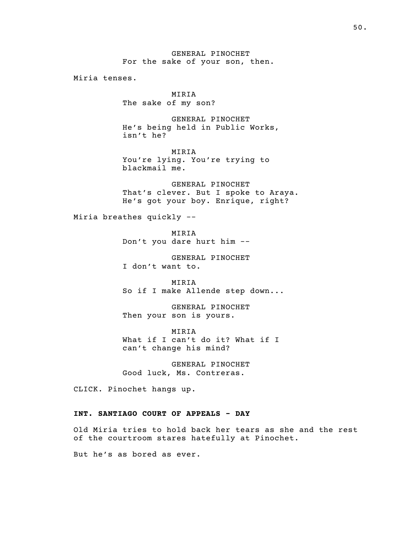GENERAL PINOCHET For the sake of your son, then.

Miria tenses.

MIRIA The sake of my son?

GENERAL PINOCHET He's being held in Public Works, isn't he?

MIRIA You're lying. You're trying to blackmail me.

GENERAL PINOCHET That's clever. But I spoke to Araya. He's got your boy. Enrique, right?

Miria breathes quickly --

MIRIA Don't you dare hurt him --

GENERAL PINOCHET I don't want to.

MIRIA So if I make Allende step down...

GENERAL PINOCHET Then your son is yours.

MIRIA What if I can't do it? What if I can't change his mind?

GENERAL PINOCHET Good luck, Ms. Contreras.

CLICK. Pinochet hangs up.

# INT. SANTIAGO COURT OF APPEALS - DAY

Old Miria tries to hold back her tears as she and the rest of the courtroom stares hatefully at Pinochet.

But he's as bored as ever.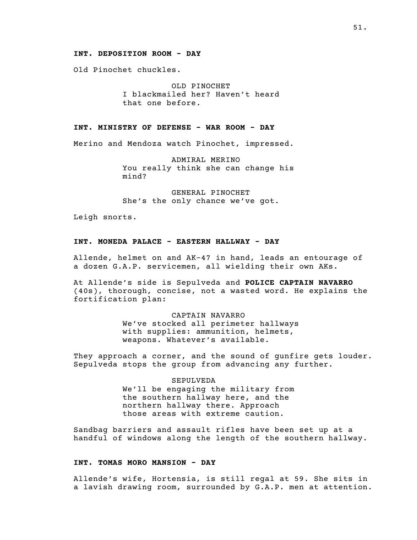#### INT. DEPOSITION ROOM - DAY

Old Pinochet chuckles.

OLD PINOCHET I blackmailed her? Haven't heard that one before.

# INT. MINISTRY OF DEFENSE - WAR ROOM - DAY

Merino and Mendoza watch Pinochet, impressed.

ADMIRAL MERINO You really think she can change his mind?

GENERAL PINOCHET She's the only chance we've got.

Leigh snorts.

# INT. MONEDA PALACE - EASTERN HALLWAY - DAY

Allende, helmet on and AK-47 in hand, leads an entourage of a dozen G.A.P. servicemen, all wielding their own AKs.

At Allende's side is Sepulveda and POLICE CAPTAIN NAVARRO (40s), thorough, concise, not a wasted word. He explains the fortification plan:

#### CAPTAIN NAVARRO

We've stocked all perimeter hallways with supplies: ammunition, helmets, weapons. Whatever's available.

They approach a corner, and the sound of gunfire gets louder. Sepulveda stops the group from advancing any further.

# SEPULVEDA

We'll be engaging the military from the southern hallway here, and the northern hallway there. Approach those areas with extreme caution.

Sandbag barriers and assault rifles have been set up at a handful of windows along the length of the southern hallway.

#### INT. TOMAS MORO MANSION - DAY

Allende's wife, Hortensia, is still regal at 59. She sits in a lavish drawing room, surrounded by G.A.P. men at attention.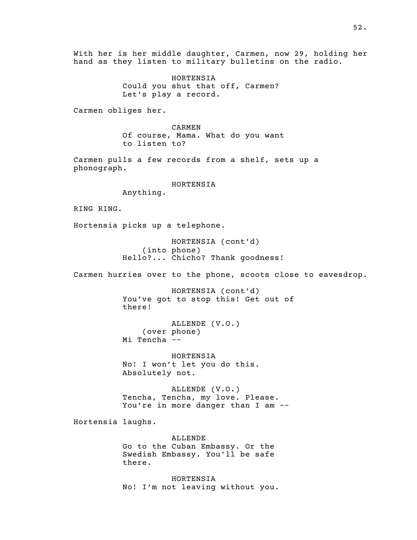With her is her middle daughter, Carmen, now 29, holding her hand as they listen to military bulletins on the radio. HORTENSIA Could you shut that off, Carmen? Let's play a record. Carmen obliges her. CARMEN Of course, Mama. What do you want to listen to? Carmen pulls a few records from a shelf, sets up a phonograph. HORTENSIA Anything. RING RING. Hortensia picks up a telephone. HORTENSIA (cont'd) (into phone) Hello?... Chicho? Thank goodness! Carmen hurries over to the phone, scoots close to eavesdrop. HORTENSIA (cont'd) You've got to stop this! Get out of there! ALLENDE (V.O.) (over phone) Mi Tencha -- HORTENSIA No! I won't let you do this. Absolutely not. ALLENDE (V.O.) Tencha, Tencha, my love. Please. You're in more danger than I am -- Hortensia laughs. ALLENDE Go to the Cuban Embassy. Or the Swedish Embassy. You'll be safe there. HORTENSIA No! I'm not leaving without you.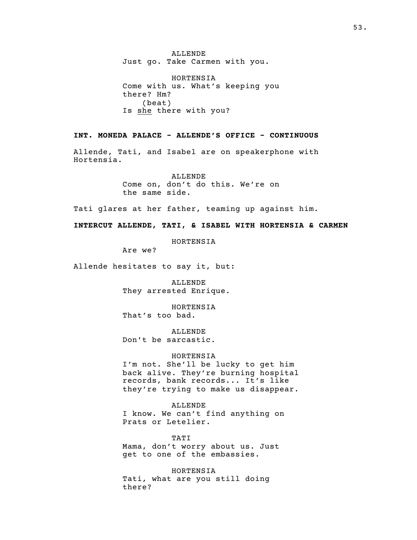ALLENDE Just go. Take Carmen with you.

HORTENSIA Come with us. What's keeping you there? Hm? (beat) Is she there with you?

# INT. MONEDA PALACE - ALLENDE'S OFFICE - CONTINUOUS

Allende, Tati, and Isabel are on speakerphone with Hortensia.

> ALLENDE Come on, don't do this. We're on the same side.

Tati glares at her father, teaming up against him.

INTERCUT ALLENDE, TATI, & ISABEL WITH HORTENSIA & CARMEN

HORTENSIA

Are we?

Allende hesitates to say it, but:

ALLENDE They arrested Enrique.

HORTENSIA That's too bad.

ALLENDE Don't be sarcastic.

#### HORTENSIA

I'm not. She'll be lucky to get him back alive. They're burning hospital records, bank records... It's like they're trying to make us disappear.

ALLENDE I know. We can't find anything on Prats or Letelier.

TATI Mama, don't worry about us. Just get to one of the embassies.

HORTENSIA Tati, what are you still doing there?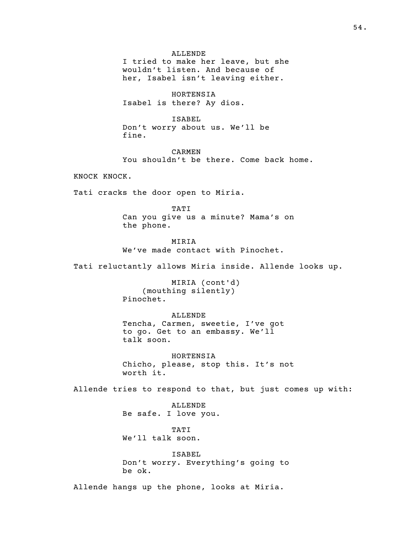ALLENDE I tried to make her leave, but she wouldn't listen. And because of her, Isabel isn't leaving either.

HORTENSIA Isabel is there? Ay dios.

#### ISABEL

Don't worry about us. We'll be fine.

CARMEN You shouldn't be there. Come back home.

KNOCK KNOCK.

Tati cracks the door open to Miria.

# TATI

Can you give us a minute? Mama's on the phone.

**MIRIA** We've made contact with Pinochet.

Tati reluctantly allows Miria inside. Allende looks up.

MIRIA (cont'd) (mouthing silently) Pinochet.

#### ALLENDE

Tencha, Carmen, sweetie, I've got to go. Get to an embassy. We'll talk soon.

HORTENSIA Chicho, please, stop this. It's not worth it.

Allende tries to respond to that, but just comes up with:

ALLENDE Be safe. I love you.

TATI We'll talk soon.

ISABEL Don't worry. Everything's going to be ok.

Allende hangs up the phone, looks at Miria.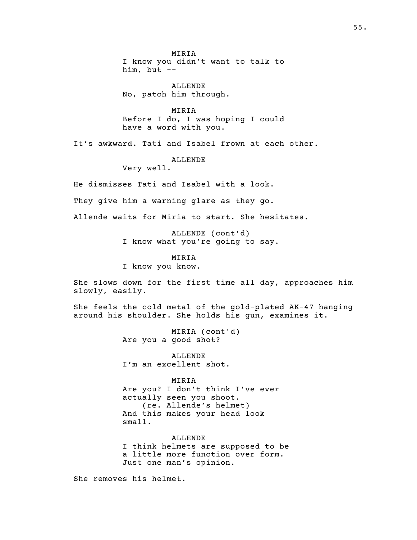MIRIA I know you didn't want to talk to him, but --

ALLENDE No, patch him through.

MIRIA Before I do, I was hoping I could have a word with you.

It's awkward. Tati and Isabel frown at each other.

ALLENDE

Very well.

He dismisses Tati and Isabel with a look.

They give him a warning glare as they go.

Allende waits for Miria to start. She hesitates.

ALLENDE (cont'd) I know what you're going to say.

MIRIA

I know you know.

She slows down for the first time all day, approaches him slowly, easily.

She feels the cold metal of the gold-plated AK-47 hanging around his shoulder. She holds his gun, examines it.

> MIRIA (cont'd) Are you a good shot?

ALLENDE I'm an excellent shot.

MIRIA

Are you? I don't think I've ever actually seen you shoot. (re. Allende's helmet) And this makes your head look small.

ALLENDE

I think helmets are supposed to be a little more function over form. Just one man's opinion.

She removes his helmet.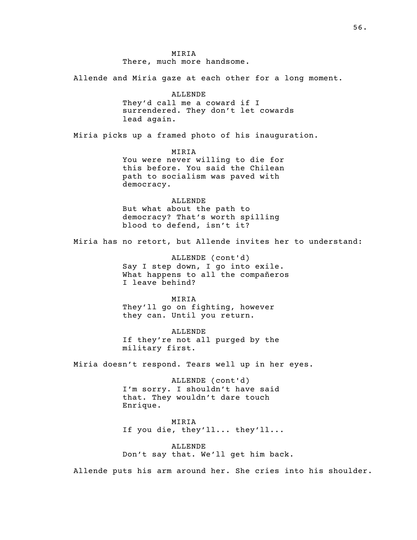MIRIA There, much more handsome.

Allende and Miria gaze at each other for a long moment.

ALLENDE They'd call me a coward if I surrendered. They don't let cowards lead again.

Miria picks up a framed photo of his inauguration.

MIRIA You were never willing to die for this before. You said the Chilean path to socialism was paved with democracy.

ALLENDE But what about the path to democracy? That's worth spilling blood to defend, isn't it?

Miria has no retort, but Allende invites her to understand:

ALLENDE (cont'd) Say I step down, I go into exile. What happens to all the compañeros I leave behind?

MIRIA They'll go on fighting, however they can. Until you return.

ALLENDE If they're not all purged by the military first.

Miria doesn't respond. Tears well up in her eyes.

ALLENDE (cont'd) I'm sorry. I shouldn't have said that. They wouldn't dare touch Enrique.

MIRIA If you die, they'll... they'll...

ALLENDE Don't say that. We'll get him back.

Allende puts his arm around her. She cries into his shoulder.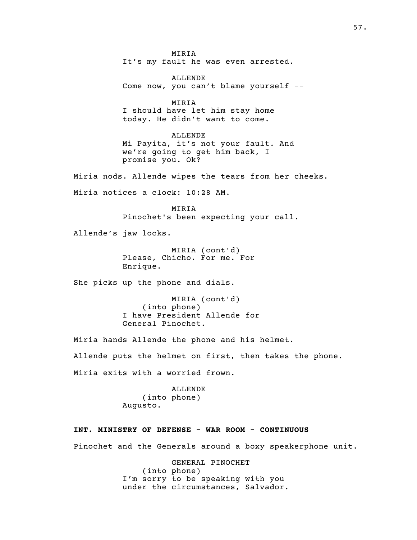MIRIA It's my fault he was even arrested. ALLENDE Come now, you can't blame yourself -- MIRIA I should have let him stay home today. He didn't want to come. ALLENDE Mi Payita, it's not your fault. And we're going to get him back, I promise you. Ok? Miria nods. Allende wipes the tears from her cheeks. Miria notices a clock: 10:28 AM. MIRIA Pinochet's been expecting your call. Allende's jaw locks. MIRIA (cont'd) Please, Chicho. For me. For Enrique. She picks up the phone and dials. MIRIA (cont'd)  $(into phone)$ I have President Allende for General Pinochet. Miria hands Allende the phone and his helmet. Allende puts the helmet on first, then takes the phone. Miria exits with a worried frown. ALLENDE (into phone) Augusto. INT. MINISTRY OF DEFENSE - WAR ROOM - CONTINUOUS Pinochet and the Generals around a boxy speakerphone unit. GENERAL PINOCHET (into phone)

I'm sorry to be speaking with you under the circumstances, Salvador.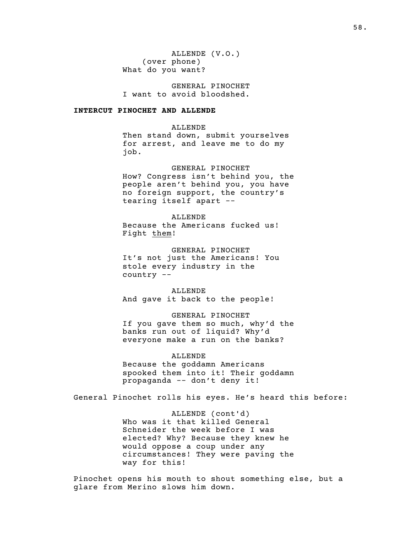ALLENDE (V.O.) (over phone) What do you want?

GENERAL PINOCHET I want to avoid bloodshed.

# INTERCUT PINOCHET AND ALLENDE

ALLENDE Then stand down, submit yourselves for arrest, and leave me to do my job.

# GENERAL PINOCHET

How? Congress isn't behind you, the people aren't behind you, you have no foreign support, the country's tearing itself apart --

#### ALLENDE

Because the Americans fucked us! Fight them!

GENERAL PINOCHET It's not just the Americans! You stole every industry in the country --

ALLENDE And gave it back to the people!

#### GENERAL PINOCHET

If you gave them so much, why'd the banks run out of liquid? Why'd everyone make a run on the banks?

# ALLENDE

Because the goddamn Americans spooked them into it! Their goddamn propaganda -- don't deny it!

General Pinochet rolls his eyes. He's heard this before:

ALLENDE (cont'd) Who was it that killed General Schneider the week before I was elected? Why? Because they knew he would oppose a coup under any circumstances! They were paving the way for this!

Pinochet opens his mouth to shout something else, but a glare from Merino slows him down.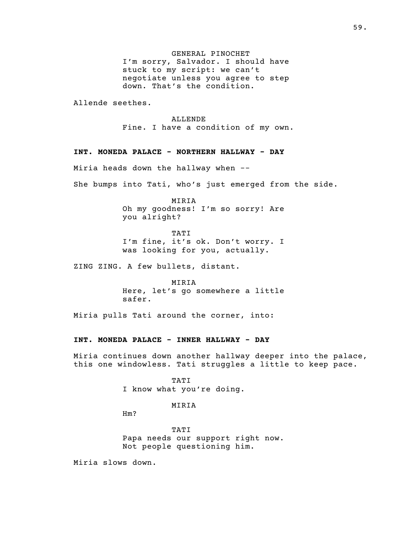GENERAL PINOCHET I'm sorry, Salvador. I should have stuck to my script: we can't negotiate unless you agree to step down. That's the condition.

Allende seethes.

#### ALLENDE

Fine. I have a condition of my own.

#### INT. MONEDA PALACE - NORTHERN HALLWAY - DAY

Miria heads down the hallway when --

She bumps into Tati, who's just emerged from the side.

MIRIA Oh my goodness! I'm so sorry! Are you alright?

TATI I'm fine, it's ok. Don't worry. I was looking for you, actually.

ZING ZING. A few bullets, distant.

MIRIA Here, let's go somewhere a little safer.

Miria pulls Tati around the corner, into:

# INT. MONEDA PALACE - INNER HALLWAY - DAY

Miria continues down another hallway deeper into the palace, this one windowless. Tati struggles a little to keep pace.

> TATI I know what you're doing.

> > MIRIA

Hm?

TATI Papa needs our support right now. Not people questioning him.

Miria slows down.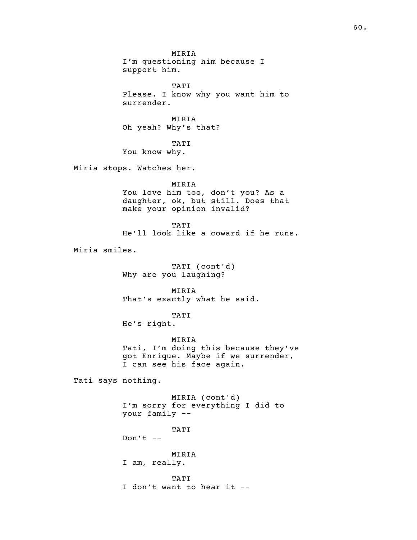MIRIA I'm questioning him because I support him. TATI Please. I know why you want him to surrender. MIRIA Oh yeah? Why's that? TATI You know why. Miria stops. Watches her. MIRIA You love him too, don't you? As a daughter, ok, but still. Does that make your opinion invalid? TATI He'll look like a coward if he runs. Miria smiles. TATI (cont'd) Why are you laughing? MIRIA That's exactly what he said. TATI He's right. MIRIA Tati, I'm doing this because they've got Enrique. Maybe if we surrender, I can see his face again. Tati says nothing. MIRIA (cont'd) I'm sorry for everything I did to your family -- TATI Don't  $--$ MIRIA I am, really. TATI I don't want to hear it --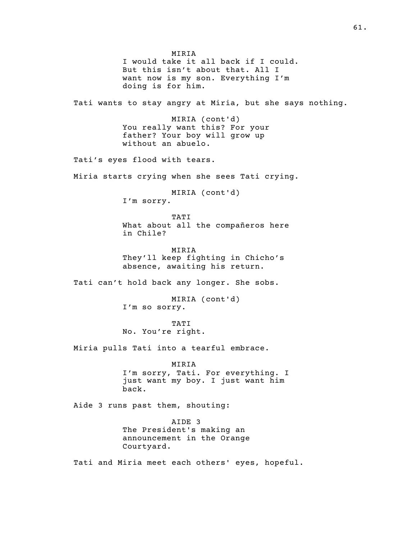MIRIA I would take it all back if I could. But this isn't about that. All I want now is my son. Everything I'm doing is for him. Tati wants to stay angry at Miria, but she says nothing. MIRIA (cont'd) You really want this? For your father? Your boy will grow up without an abuelo. Tati's eyes flood with tears. Miria starts crying when she sees Tati crying. MIRIA (cont'd) I'm sorry. TATI What about all the compañeros here in Chile? MIRIA They'll keep fighting in Chicho's absence, awaiting his return. Tati can't hold back any longer. She sobs. MIRIA (cont'd) I'm so sorry. TATI No. You're right. Miria pulls Tati into a tearful embrace. MIRIA I'm sorry, Tati. For everything. I just want my boy. I just want him back. Aide 3 runs past them, shouting: AIDE 3 The President's making an announcement in the Orange Courtyard. Tati and Miria meet each others' eyes, hopeful.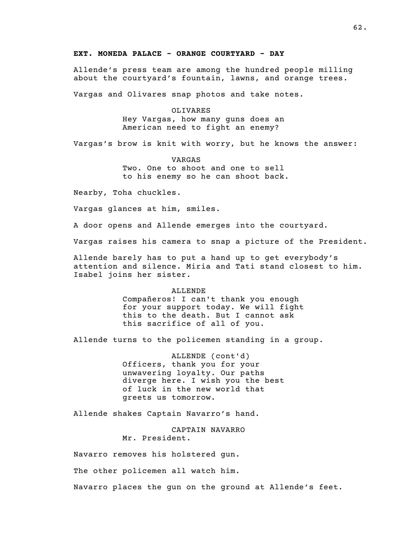#### EXT. MONEDA PALACE - ORANGE COURTYARD - DAY

Allende's press team are among the hundred people milling about the courtyard's fountain, lawns, and orange trees.

Vargas and Olivares snap photos and take notes.

OLIVARES Hey Vargas, how many guns does an American need to fight an enemy?

Vargas's brow is knit with worry, but he knows the answer:

VARGAS Two. One to shoot and one to sell to his enemy so he can shoot back.

Nearby, Toha chuckles.

Vargas glances at him, smiles.

A door opens and Allende emerges into the courtyard.

Vargas raises his camera to snap a picture of the President.

Allende barely has to put a hand up to get everybody's attention and silence. Miria and Tati stand closest to him. Isabel joins her sister.

ALLENDE

Compañeros! I can't thank you enough for your support today. We will fight this to the death. But I cannot ask this sacrifice of all of you.

Allende turns to the policemen standing in a group.

ALLENDE (cont'd) Officers, thank you for your unwavering loyalty. Our paths diverge here. I wish you the best of luck in the new world that greets us tomorrow.

Allende shakes Captain Navarro's hand.

CAPTAIN NAVARRO Mr. President.

Navarro removes his holstered gun.

The other policemen all watch him.

Navarro places the gun on the ground at Allende's feet.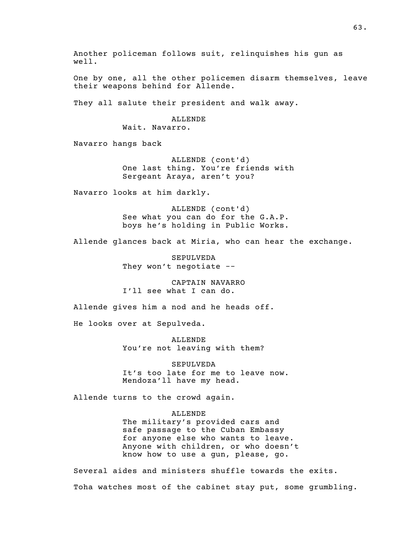Another policeman follows suit, relinquishes his gun as well. One by one, all the other policemen disarm themselves, leave their weapons behind for Allende. They all salute their president and walk away. ALLENDE Wait. Navarro. Navarro hangs back ALLENDE (cont'd) One last thing. You're friends with Sergeant Araya, aren't you? Navarro looks at him darkly. ALLENDE (cont'd) See what you can do for the G.A.P. boys he's holding in Public Works. Allende glances back at Miria, who can hear the exchange. SEPULVEDA They won't negotiate -- CAPTAIN NAVARRO I'll see what I can do. Allende gives him a nod and he heads off. He looks over at Sepulveda. ALLENDE You're not leaving with them? SEPULVEDA It's too late for me to leave now. Mendoza'll have my head. Allende turns to the crowd again. ALLENDE The military's provided cars and safe passage to the Cuban Embassy for anyone else who wants to leave. Anyone with children, or who doesn't know how to use a gun, please, go.

Several aides and ministers shuffle towards the exits. Toha watches most of the cabinet stay put, some grumbling.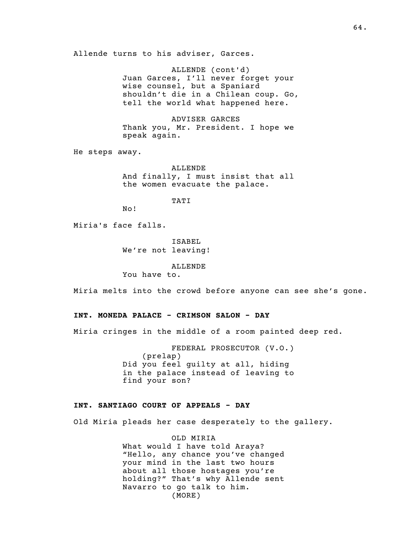Allende turns to his adviser, Garces.

ALLENDE (cont'd) Juan Garces, I'll never forget your wise counsel, but a Spaniard shouldn't die in a Chilean coup. Go, tell the world what happened here.

ADVISER GARCES Thank you, Mr. President. I hope we speak again.

He steps away.

ALLENDE And finally, I must insist that all the women evacuate the palace.

TATI

Miria's face falls.

No!

ISABEL We're not leaving!

ALLENDE

You have to.

Miria melts into the crowd before anyone can see she's gone.

# INT. MONEDA PALACE - CRIMSON SALON - DAY

Miria cringes in the middle of a room painted deep red.

FEDERAL PROSECUTOR (V.O.)  $(p$ relap $)$ Did you feel guilty at all, hiding in the palace instead of leaving to find your son?

#### INT. SANTIAGO COURT OF APPEALS - DAY

Old Miria pleads her case desperately to the gallery.

OLD MIRIA What would I have told Araya? "Hello, any chance you've changed your mind in the last two hours about all those hostages you're holding?" That's why Allende sent Navarro to go talk to him. (MORE)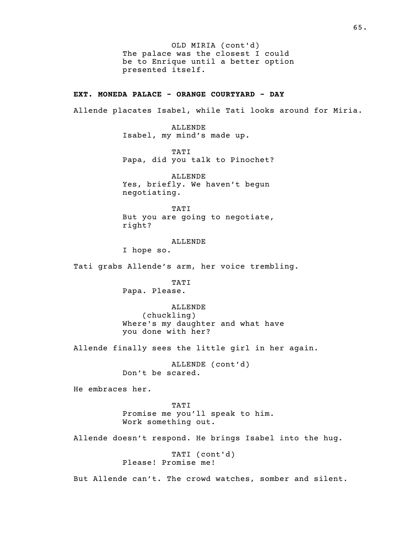The palace was the closest I could OLD MIRIA (cont'd) be to Enrique until a better option presented itself.

# EXT. MONEDA PALACE - ORANGE COURTYARD - DAY

Allende placates Isabel, while Tati looks around for Miria.

ALLENDE Isabel, my mind's made up.

TATI Papa, did you talk to Pinochet?

ALLENDE Yes, briefly. We haven't begun negotiating.

TATI But you are going to negotiate, right?

ALLENDE

I hope so.

Tati grabs Allende's arm, her voice trembling.

TATI Papa. Please.

ALLENDE  $($  chuckling $)$ Where's my daughter and what have you done with her?

Allende finally sees the little girl in her again.

ALLENDE (cont'd) Don't be scared.

He embraces her.

TATI Promise me you'll speak to him. Work something out.

Allende doesn't respond. He brings Isabel into the hug.

TATI (cont'd) Please! Promise me!

But Allende can't. The crowd watches, somber and silent.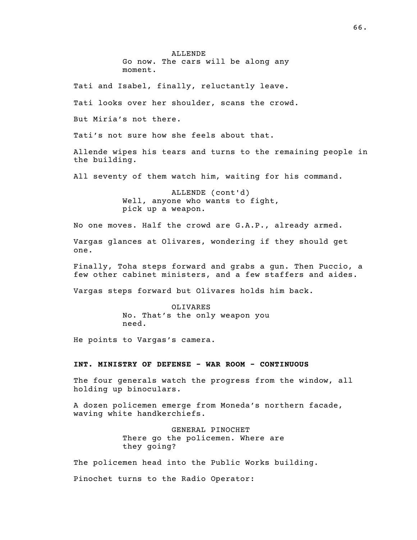ALLENDE Go now. The cars will be along any moment.

Tati and Isabel, finally, reluctantly leave.

Tati looks over her shoulder, scans the crowd.

But Miria's not there.

Tati's not sure how she feels about that.

Allende wipes his tears and turns to the remaining people in the building.

All seventy of them watch him, waiting for his command.

ALLENDE (cont'd) Well, anyone who wants to fight, pick up a weapon.

No one moves. Half the crowd are G.A.P., already armed.

Vargas glances at Olivares, wondering if they should get one.

Finally, Toha steps forward and grabs a gun. Then Puccio, a few other cabinet ministers, and a few staffers and aides.

Vargas steps forward but Olivares holds him back.

OLIVARES No. That's the only weapon you need.

He points to Vargas's camera.

# INT. MINISTRY OF DEFENSE - WAR ROOM - CONTINUOUS

The four generals watch the progress from the window, all holding up binoculars.

A dozen policemen emerge from Moneda's northern facade, waving white handkerchiefs.

> GENERAL PINOCHET There go the policemen. Where are they going?

The policemen head into the Public Works building.

Pinochet turns to the Radio Operator: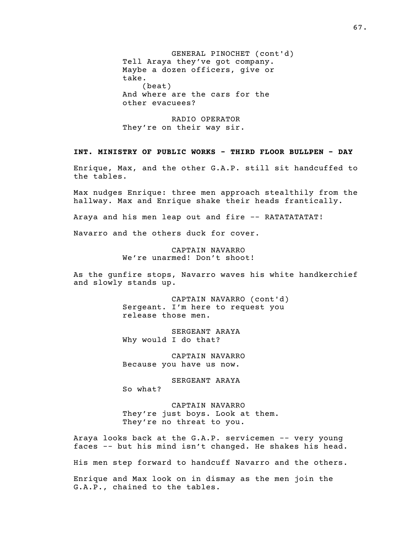GENERAL PINOCHET (cont'd) Tell Araya they've got company. Maybe a dozen officers, give or take.  $(b$ eat $)$ And where are the cars for the other evacuees?

RADIO OPERATOR They're on their way sir.

#### INT. MINISTRY OF PUBLIC WORKS - THIRD FLOOR BULLPEN - DAY

Enrique, Max, and the other G.A.P. still sit handcuffed to the tables.

Max nudges Enrique: three men approach stealthily from the hallway. Max and Enrique shake their heads frantically.

Araya and his men leap out and fire -- RATATATATAT!

Navarro and the others duck for cover.

CAPTAIN NAVARRO We're unarmed! Don't shoot!

As the gunfire stops, Navarro waves his white handkerchief and slowly stands up.

> CAPTAIN NAVARRO (cont'd) Sergeant. I'm here to request you release those men.

SERGEANT ARAYA Why would I do that?

CAPTAIN NAVARRO Because you have us now.

SERGEANT ARAYA So what?

CAPTAIN NAVARRO They're just boys. Look at them. They're no threat to you.

Araya looks back at the G.A.P. servicemen -- very young faces -- but his mind isn't changed. He shakes his head.

His men step forward to handcuff Navarro and the others.

Enrique and Max look on in dismay as the men join the G.A.P., chained to the tables.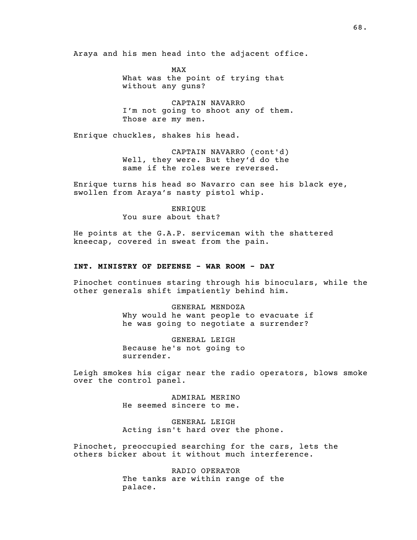Araya and his men head into the adjacent office.

MAX What was the point of trying that without any guns?

CAPTAIN NAVARRO I'm not going to shoot any of them. Those are my men.

Enrique chuckles, shakes his head.

CAPTAIN NAVARRO (cont'd) Well, they were. But they'd do the same if the roles were reversed.

Enrique turns his head so Navarro can see his black eye, swollen from Araya's nasty pistol whip.

> ENRIQUE You sure about that?

He points at the G.A.P. serviceman with the shattered kneecap, covered in sweat from the pain.

# INT. MINISTRY OF DEFENSE - WAR ROOM - DAY

Pinochet continues staring through his binoculars, while the other generals shift impatiently behind him.

> GENERAL MENDOZA Why would he want people to evacuate if he was going to negotiate a surrender?

GENERAL LEIGH Because he's not going to surrender.

Leigh smokes his cigar near the radio operators, blows smoke over the control panel.

> ADMIRAL MERINO He seemed sincere to me.

GENERAL LEIGH Acting isn't hard over the phone.

Pinochet, preoccupied searching for the cars, lets the others bicker about it without much interference.

> RADIO OPERATOR The tanks are within range of the palace.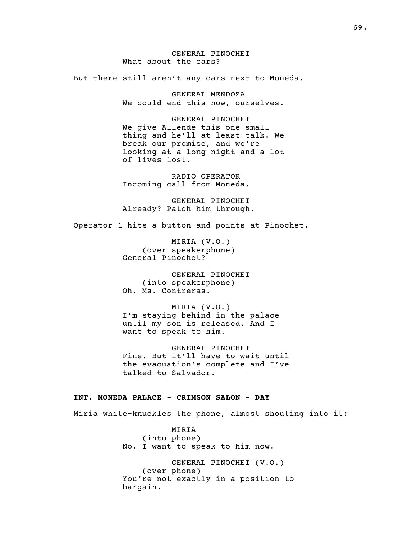GENERAL PINOCHET What about the cars?

But there still aren't any cars next to Moneda.

GENERAL MENDOZA We could end this now, ourselves.

GENERAL PINOCHET We give Allende this one small thing and he'll at least talk. We break our promise, and we're looking at a long night and a lot of lives lost.

RADIO OPERATOR Incoming call from Moneda.

GENERAL PINOCHET Already? Patch him through.

Operator 1 hits a button and points at Pinochet.

MIRIA (V.O.) ( over speakerphone) General Pinochet?

GENERAL PINOCHET (into speakerphone) Oh, Ms. Contreras.

MIRIA (V.O.) I'm staying behind in the palace until my son is released. And I want to speak to him.

GENERAL PINOCHET Fine. But it'll have to wait until the evacuation's complete and I've talked to Salvador.

# INT. MONEDA PALACE - CRIMSON SALON - DAY

Miria white-knuckles the phone, almost shouting into it:

MIRIA (into phone) No, I want to speak to him now.

GENERAL PINOCHET (V.O.) (over phone) You're not exactly in a position to bargain.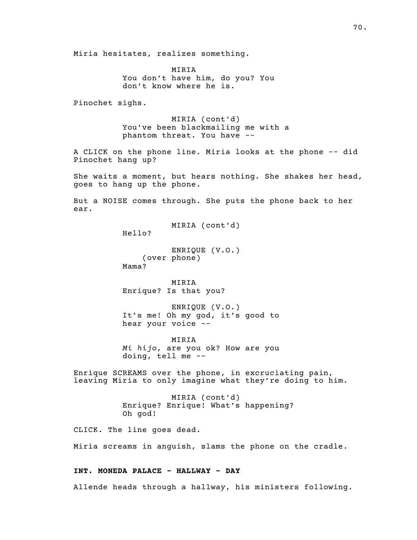Miria hesitates, realizes something.

MIRIA You don't have him, do you? You don't know where he is.

Pinochet sighs.

MIRIA (cont'd) You've been blackmailing me with a phantom threat. You have --

A CLICK on the phone line. Miria looks at the phone -- did Pinochet hang up?

She waits a moment, but hears nothing. She shakes her head, goes to hang up the phone.

But a NOISE comes through. She puts the phone back to her ear.

MIRIA (cont'd)

Hello?

ENRIQUE (V.O.) (over phone) Mama?

MIRIA Enrique? Is that you?

ENRIQUE (V.O.) It's me! Oh my god, it's good to hear your voice --

MIRIA Mi hijo, are you ok? How are you doing, tell me --

Enrique SCREAMS over the phone, in excruciating pain, leaving Miria to only imagine what they're doing to him.

> MIRIA (cont'd) Enrique? Enrique! What's happening? Oh god!

CLICK. The line goes dead.

Miria screams in anguish, slams the phone on the cradle.

# INT. MONEDA PALACE - HALLWAY - DAY

Allende heads through a hallway, his ministers following.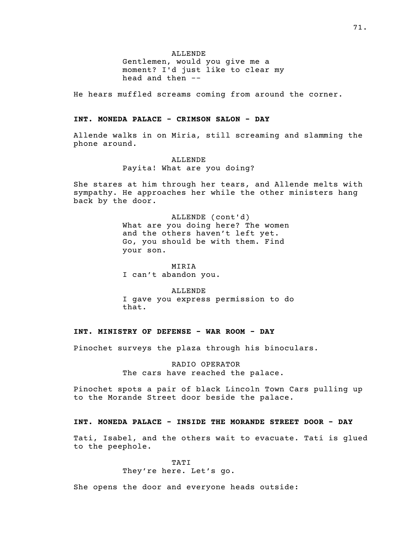ALLENDE

Gentlemen, would you give me a moment? I'd just like to clear my head and then --

He hears muffled screams coming from around the corner.

#### INT. MONEDA PALACE - CRIMSON SALON - DAY

Allende walks in on Miria, still screaming and slamming the phone around.

# ALLENDE Payita! What are you doing?

She stares at him through her tears, and Allende melts with sympathy. He approaches her while the other ministers hang back by the door.

> ALLENDE (cont'd) What are you doing here? The women and the others haven't left yet. Go, you should be with them. Find your son.

MIRIA I can't abandon you.

ALLENDE I gave you express permission to do that.

# INT. MINISTRY OF DEFENSE - WAR ROOM - DAY

Pinochet surveys the plaza through his binoculars.

RADIO OPERATOR The cars have reached the palace.

Pinochet spots a pair of black Lincoln Town Cars pulling up to the Morande Street door beside the palace.

#### INT. MONEDA PALACE - INSIDE THE MORANDE STREET DOOR - DAY

Tati, Isabel, and the others wait to evacuate. Tati is glued to the peephole.

> TATI They're here. Let's go.

She opens the door and everyone heads outside: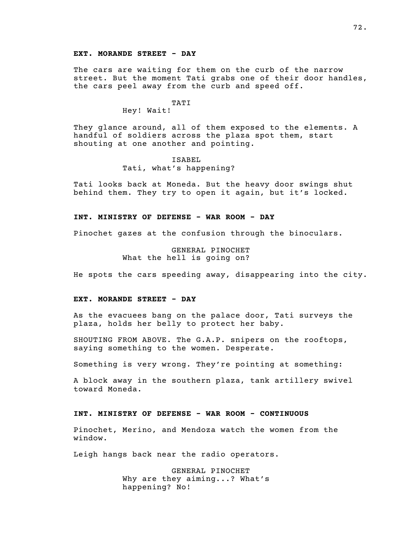#### EXT. MORANDE STREET - DAY

The cars are waiting for them on the curb of the narrow street. But the moment Tati grabs one of their door handles, the cars peel away from the curb and speed off.

# TATI

Hey! Wait!

They glance around, all of them exposed to the elements. A handful of soldiers across the plaza spot them, start shouting at one another and pointing.

# ISABEL Tati, what's happening?

Tati looks back at Moneda. But the heavy door swings shut behind them. They try to open it again, but it's locked.

#### INT. MINISTRY OF DEFENSE - WAR ROOM - DAY

Pinochet gazes at the confusion through the binoculars.

GENERAL PINOCHET What the hell is going on?

He spots the cars speeding away, disappearing into the city.

#### EXT. MORANDE STREET - DAY

As the evacuees bang on the palace door, Tati surveys the plaza, holds her belly to protect her baby.

SHOUTING FROM ABOVE. The G.A.P. snipers on the rooftops, saying something to the women. Desperate.

Something is very wrong. They're pointing at something:

A block away in the southern plaza, tank artillery swivel toward Moneda.

# INT. MINISTRY OF DEFENSE - WAR ROOM - CONTINUOUS

Pinochet, Merino, and Mendoza watch the women from the window.

Leigh hangs back near the radio operators.

GENERAL PINOCHET Why are they aiming...? What's happening? No!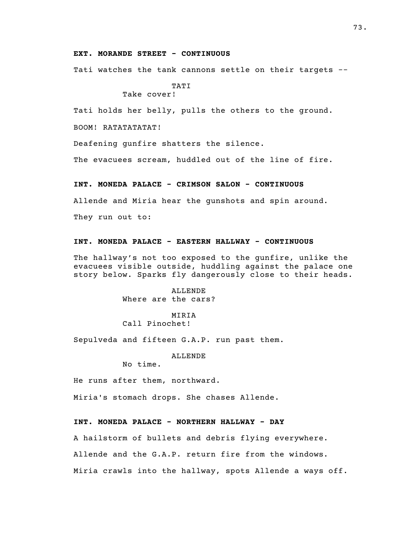### EXT. MORANDE STREET - CONTINUOUS

Tati watches the tank cannons settle on their targets --

TATI Take cover!

Tati holds her belly, pulls the others to the ground.

BOOM! RATATATATAT!

Deafening gunfire shatters the silence.

The evacuees scream, huddled out of the line of fire.

# INT. MONEDA PALACE - CRIMSON SALON - CONTINUOUS

Allende and Miria hear the gunshots and spin around.

They run out to:

### INT. MONEDA PALACE - EASTERN HALLWAY - CONTINUOUS

The hallway's not too exposed to the gunfire, unlike the evacuees visible outside, huddling against the palace one story below. Sparks fly dangerously close to their heads.

> ALLENDE Where are the cars?

MIRIA Call Pinochet!

Sepulveda and fifteen G.A.P. run past them.

ALLENDE

No time.

He runs after them, northward.

Miria's stomach drops. She chases Allende.

# INT. MONEDA PALACE - NORTHERN HALLWAY - DAY

A hailstorm of bullets and debris flying everywhere.

Allende and the G.A.P. return fire from the windows.

Miria crawls into the hallway, spots Allende a ways off.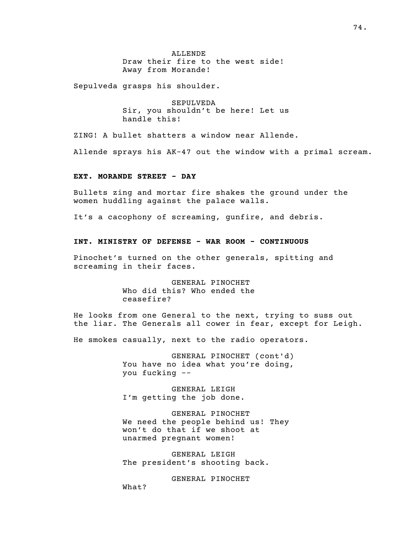ALLENDE Draw their fire to the west side! Away from Morande!

Sepulveda grasps his shoulder.

SEPULVEDA Sir, you shouldn't be here! Let us handle this!

ZING! A bullet shatters a window near Allende.

Allende sprays his AK-47 out the window with a primal scream.

## EXT. MORANDE STREET - DAY

Bullets zing and mortar fire shakes the ground under the women huddling against the palace walls.

It's a cacophony of screaming, gunfire, and debris.

### INT. MINISTRY OF DEFENSE - WAR ROOM - CONTINUOUS

Pinochet's turned on the other generals, spitting and screaming in their faces.

> GENERAL PINOCHET Who did this? Who ended the ceasefire?

He looks from one General to the next, trying to suss out the liar. The Generals all cower in fear, except for Leigh.

He smokes casually, next to the radio operators.

GENERAL PINOCHET (cont'd) You have no idea what you're doing, you fucking --

GENERAL LEIGH I'm getting the job done.

GENERAL PINOCHET We need the people behind us! They won't do that if we shoot at unarmed pregnant women!

GENERAL LEIGH The president's shooting back.

GENERAL PINOCHET

What?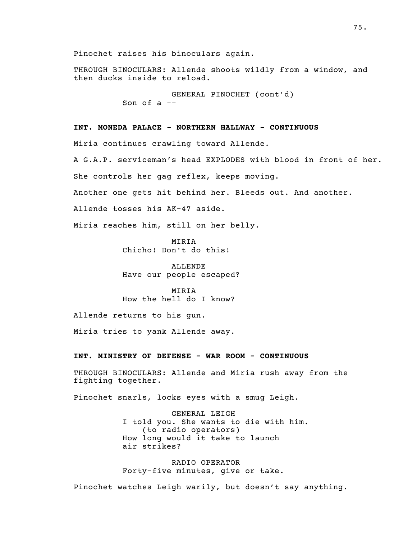Pinochet raises his binoculars again.

THROUGH BINOCULARS: Allende shoots wildly from a window, and then ducks inside to reload.

> GENERAL PINOCHET (cont'd) Son of a --

# INT. MONEDA PALACE - NORTHERN HALLWAY - CONTINUOUS

Miria continues crawling toward Allende.

A G.A.P. serviceman's head EXPLODES with blood in front of her.

She controls her gag reflex, keeps moving.

Another one gets hit behind her. Bleeds out. And another.

Allende tosses his AK-47 aside.

Miria reaches him, still on her belly.

MIRIA Chicho! Don't do this!

ALLENDE Have our people escaped?

MIRIA How the hell do I know?

Allende returns to his gun.

Miria tries to yank Allende away.

### INT. MINISTRY OF DEFENSE - WAR ROOM - CONTINUOUS

THROUGH BINOCULARS: Allende and Miria rush away from the fighting together.

Pinochet snarls, locks eyes with a smug Leigh.

GENERAL LEIGH I told you. She wants to die with him. (to radio operators) How long would it take to launch air strikes?

RADIO OPERATOR Forty-five minutes, give or take.

Pinochet watches Leigh warily, but doesn't say anything.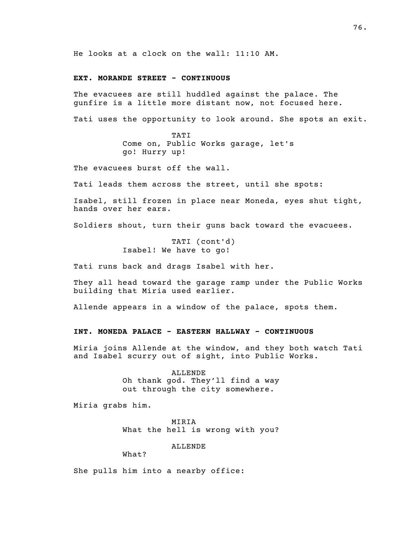He looks at a clock on the wall: 11:10 AM.

### EXT. MORANDE STREET - CONTINUOUS

The evacuees are still huddled against the palace. The gunfire is a little more distant now, not focused here.

Tati uses the opportunity to look around. She spots an exit.

TATI Come on, Public Works garage, let's go! Hurry up!

The evacuees burst off the wall.

Tati leads them across the street, until she spots:

Isabel, still frozen in place near Moneda, eyes shut tight, hands over her ears.

Soldiers shout, turn their guns back toward the evacuees.

TATI (cont'd) Isabel! We have to go!

Tati runs back and drags Isabel with her.

They all head toward the garage ramp under the Public Works building that Miria used earlier.

Allende appears in a window of the palace, spots them.

### INT. MONEDA PALACE - EASTERN HALLWAY - CONTINUOUS

Miria joins Allende at the window, and they both watch Tati and Isabel scurry out of sight, into Public Works.

> ALLENDE Oh thank god. They'll find a way out through the city somewhere.

Miria grabs him.

MIRIA What the hell is wrong with you?

ALLENDE

What?

She pulls him into a nearby office: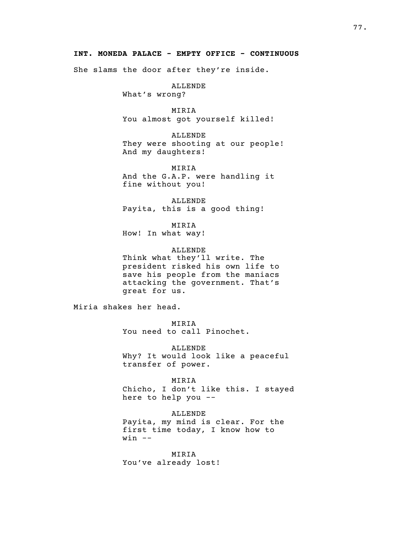# INT. MONEDA PALACE - EMPTY OFFICE - CONTINUOUS

She slams the door after they're inside.

ALLENDE

What's wrong?

MIRIA You almost got yourself killed!

ALLENDE They were shooting at our people! And my daughters!

MIRIA

And the G.A.P. were handling it fine without you!

ALLENDE Payita, this is a good thing!

MIRIA How! In what way!

ALLENDE Think what they'll write. The president risked his own life to save his people from the maniacs attacking the government. That's great for us.

Miria shakes her head.

MIRIA You need to call Pinochet.

ALLENDE Why? It would look like a peaceful transfer of power.

MIRIA Chicho, I don't like this. I stayed here to help you --

ALLENDE Payita, my mind is clear. For the first time today, I know how to  $win$   $--$ 

MIRIA You've already lost!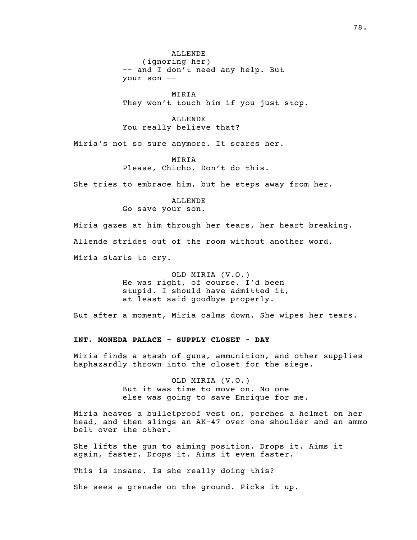ALLENDE (ignoring her) -- and I don't need any help. But your son --

MIRIA They won't touch him if you just stop.

ALLENDE You really believe that?

Miria's not so sure anymore. It scares her.

MIRIA Please, Chicho. Don't do this.

She tries to embrace him, but he steps away from her.

ALLENDE Go save your son.

Miria gazes at him through her tears, her heart breaking. Allende strides out of the room without another word. Miria starts to cry.

> OLD MIRIA (V.O.) He was right, of course. I'd been stupid. I should have admitted it, at least said goodbye properly.

But after a moment, Miria calms down. She wipes her tears.

INT. MONEDA PALACE - SUPPLY CLOSET - DAY

Miria finds a stash of guns, ammunition, and other supplies haphazardly thrown into the closet for the siege.

> OLD MIRIA (V.O.) But it was time to move on. No one else was going to save Enrique for me.

Miria heaves a bulletproof vest on, perches a helmet on her head, and then slings an AK-47 over one shoulder and an ammo belt over the other.

She lifts the gun to aiming position. Drops it. Aims it again, faster. Drops it. Aims it even faster.

This is insane. Is she really doing this?

She sees a grenade on the ground. Picks it up.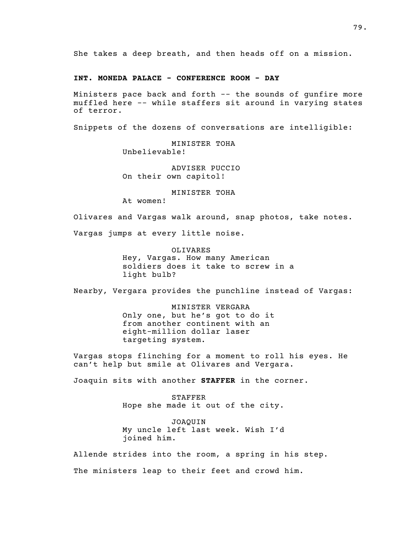She takes a deep breath, and then heads off on a mission.

# INT. MONEDA PALACE - CONFERENCE ROOM - DAY

Ministers pace back and forth -- the sounds of gunfire more muffled here -- while staffers sit around in varying states of terror.

Snippets of the dozens of conversations are intelligible:

MINISTER TOHA Unbelievable!

ADVISER PUCCIO On their own capitol!

MINISTER TOHA

At women!

Olivares and Vargas walk around, snap photos, take notes.

Vargas jumps at every little noise.

OLIVARES Hey, Vargas. How many American soldiers does it take to screw in a light bulb?

Nearby, Vergara provides the punchline instead of Vargas:

MINISTER VERGARA Only one, but he's got to do it from another continent with an eight-million dollar laser targeting system.

Vargas stops flinching for a moment to roll his eyes. He can't help but smile at Olivares and Vergara.

Joaquin sits with another STAFFER in the corner.

STAFFER Hope she made it out of the city.

JOAQUIN My uncle left last week. Wish I'd joined him.

Allende strides into the room, a spring in his step.

The ministers leap to their feet and crowd him.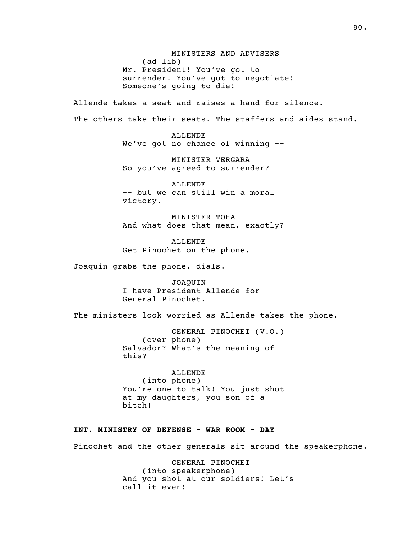MINISTERS AND ADVISERS  $(ad$  lib) Mr. President! You've got to surrender! You've got to negotiate! Someone's going to die!

Allende takes a seat and raises a hand for silence. The others take their seats. The staffers and aides stand.

> ALLENDE We've got no chance of winning --

MINISTER VERGARA So you've agreed to surrender?

ALLENDE -- but we can still win a moral victory.

MINISTER TOHA And what does that mean, exactly?

ALLENDE Get Pinochet on the phone.

Joaquin grabs the phone, dials.

JOAQUIN I have President Allende for General Pinochet.

The ministers look worried as Allende takes the phone.

GENERAL PINOCHET (V.O.) (over phone) Salvador? What's the meaning of this?

ALLENDE (into phone) You're one to talk! You just shot at my daughters, you son of a bitch!

# INT. MINISTRY OF DEFENSE - WAR ROOM - DAY

Pinochet and the other generals sit around the speakerphone.

GENERAL PINOCHET (into speakerphone) And you shot at our soldiers! Let's call it even!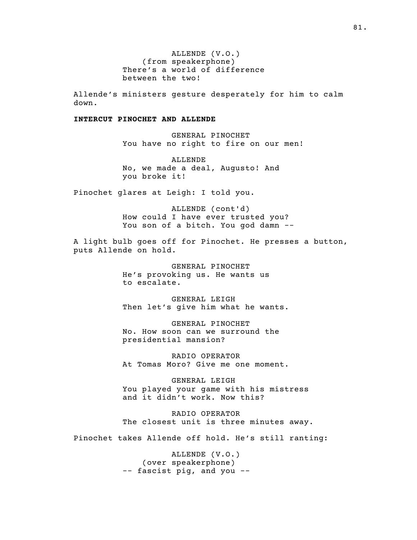ALLENDE (V.O.) (from speakerphone) There's a world of difference between the two!

Allende's ministers gesture desperately for him to calm down.

### INTERCUT PINOCHET AND ALLENDE

GENERAL PINOCHET You have no right to fire on our men!

ALLENDE No, we made a deal, Augusto! And you broke it!

Pinochet glares at Leigh: I told you.

ALLENDE (cont'd) How could I have ever trusted you? You son of a bitch. You god damn --

A light bulb goes off for Pinochet. He presses a button, puts Allende on hold.

> GENERAL PINOCHET He's provoking us. He wants us to escalate.

GENERAL LEIGH Then let's give him what he wants.

GENERAL PINOCHET No. How soon can we surround the presidential mansion?

RADIO OPERATOR At Tomas Moro? Give me one moment.

GENERAL LEIGH You played your game with his mistress and it didn't work. Now this?

RADIO OPERATOR The closest unit is three minutes away.

Pinochet takes Allende off hold. He's still ranting:

ALLENDE (V.O.) ( over speakerphone ) -- fascist pig, and you --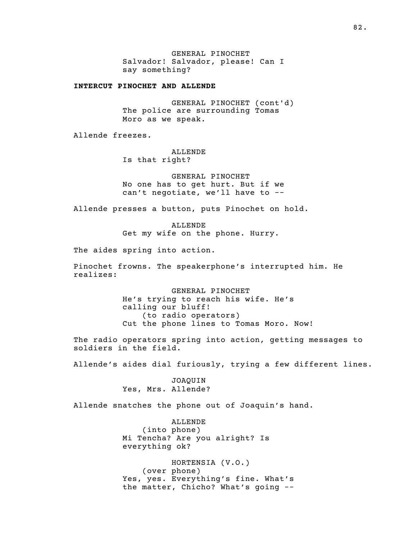GENERAL PINOCHET Salvador! Salvador, please! Can I say something?

INTERCUT PINOCHET AND ALLENDE

GENERAL PINOCHET (cont'd) The police are surrounding Tomas Moro as we speak.

Allende freezes.

ALLENDE Is that right?

GENERAL PINOCHET No one has to get hurt. But if we can't negotiate, we'll have to --

Allende presses a button, puts Pinochet on hold.

ALLENDE Get my wife on the phone. Hurry.

The aides spring into action.

Pinochet frowns. The speakerphone's interrupted him. He realizes:

> GENERAL PINOCHET He's trying to reach his wife. He's calling our bluff! (to radio operators) Cut the phone lines to Tomas Moro. Now!

The radio operators spring into action, getting messages to soldiers in the field.

Allende's aides dial furiously, trying a few different lines.

JOAQUIN Yes, Mrs. Allende?

Allende snatches the phone out of Joaquin's hand.

ALLENDE (into phone) Mi Tencha? Are you alright? Is everything ok?

HORTENSIA (V.O.) (over phone) Yes, yes. Everything's fine. What's the matter, Chicho? What's going --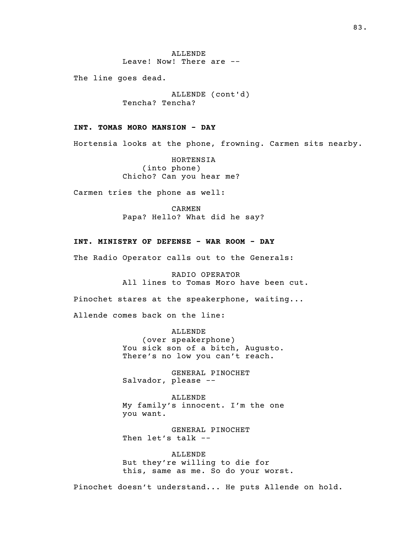ALLENDE Leave! Now! There are --

The line goes dead.

ALLENDE (cont'd) Tencha? Tencha?

# INT. TOMAS MORO MANSION - DAY

Hortensia looks at the phone, frowning. Carmen sits nearby.

HORTENSIA  $(into phone)$ Chicho? Can you hear me?

Carmen tries the phone as well:

CARMEN Papa? Hello? What did he say?

### INT. MINISTRY OF DEFENSE - WAR ROOM - DAY

The Radio Operator calls out to the Generals:

RADIO OPERATOR All lines to Tomas Moro have been cut.

Pinochet stares at the speakerphone, waiting...

Allende comes back on the line:

ALLENDE ( over speakerphone ) You sick son of a bitch, Augusto. There's no low you can't reach.

GENERAL PINOCHET Salvador, please --

ALLENDE My family's innocent. I'm the one you want.

GENERAL PINOCHET Then let's talk --

ALLENDE But they're willing to die for this, same as me. So do your worst.

Pinochet doesn't understand... He puts Allende on hold.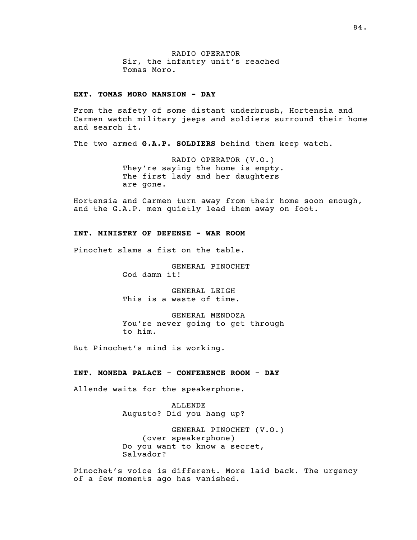RADIO OPERATOR Sir, the infantry unit's reached Tomas Moro.

# EXT. TOMAS MORO MANSION - DAY

From the safety of some distant underbrush, Hortensia and Carmen watch military jeeps and soldiers surround their home and search it.

The two armed G.A.P. SOLDIERS behind them keep watch.

RADIO OPERATOR (V.O.) They're saying the home is empty. The first lady and her daughters are gone.

Hortensia and Carmen turn away from their home soon enough, and the G.A.P. men quietly lead them away on foot.

# INT. MINISTRY OF DEFENSE - WAR ROOM

Pinochet slams a fist on the table.

GENERAL PINOCHET God damn it!

GENERAL LEIGH This is a waste of time.

GENERAL MENDOZA You're never going to get through to him.

But Pinochet's mind is working.

### INT. MONEDA PALACE - CONFERENCE ROOM - DAY

Allende waits for the speakerphone.

ALLENDE Augusto? Did you hang up?

GENERAL PINOCHET (V.O.) ( over speakerphone ) Do you want to know a secret, Salvador?

Pinochet's voice is different. More laid back. The urgency of a few moments ago has vanished.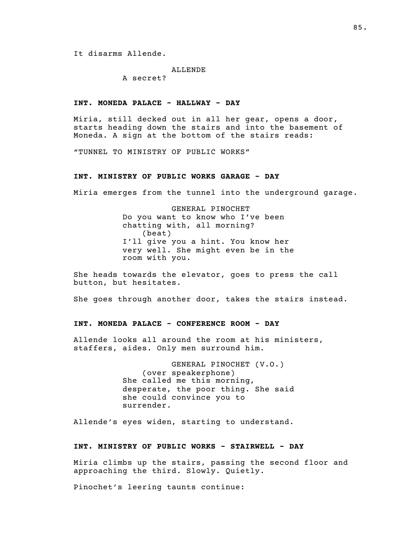It disarms Allende.

#### ALLENDE

A secret?

### INT. MONEDA PALACE - HALLWAY - DAY

Miria, still decked out in all her gear, opens a door, starts heading down the stairs and into the basement of Moneda. A sign at the bottom of the stairs reads:

"TUNNEL TO MINISTRY OF PUBLIC WORKS"

### INT. MINISTRY OF PUBLIC WORKS GARAGE - DAY

Miria emerges from the tunnel into the underground garage.

GENERAL PINOCHET Do you want to know who I've been chatting with, all morning?  $(b$ eat $)$ I'll give you a hint. You know her very well. She might even be in the room with you.

She heads towards the elevator, goes to press the call button, but hesitates.

She goes through another door, takes the stairs instead.

#### INT. MONEDA PALACE - CONFERENCE ROOM - DAY

Allende looks all around the room at his ministers, staffers, aides. Only men surround him.

> GENERAL PINOCHET (V.O.) ( over speakerphone ) She called me this morning, desperate, the poor thing. She said she could convince you to surrender.

Allende's eyes widen, starting to understand.

#### INT. MINISTRY OF PUBLIC WORKS - STAIRWELL - DAY

Miria climbs up the stairs, passing the second floor and approaching the third. Slowly. Quietly.

Pinochet's leering taunts continue: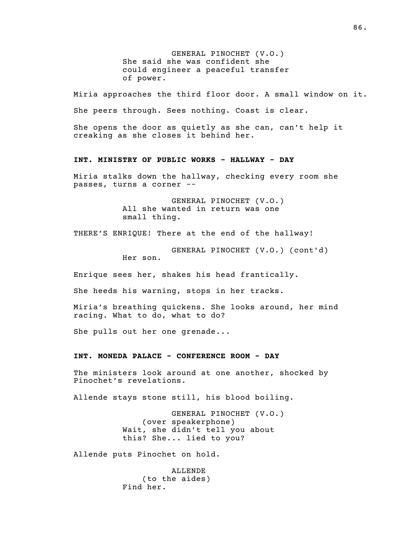GENERAL PINOCHET (V.O.) She said she was confident she could engineer a peaceful transfer of power.

Miria approaches the third floor door. A small window on it.

She peers through. Sees nothing. Coast is clear.

She opens the door as quietly as she can, can't help it creaking as she closes it behind her.

#### INT. MINISTRY OF PUBLIC WORKS - HALLWAY - DAY

Miria stalks down the hallway, checking every room she passes, turns a corner --

> GENERAL PINOCHET (V.O.) All she wanted in return was one small thing.

THERE'S ENRIQUE! There at the end of the hallway!

GENERAL PINOCHET (V.O.) (cont'd) Her son.

Enrique sees her, shakes his head frantically.

She heeds his warning, stops in her tracks.

Miria's breathing quickens. She looks around, her mind racing. What to do, what to do?

She pulls out her one grenade...

### INT. MONEDA PALACE - CONFERENCE ROOM - DAY

The ministers look around at one another, shocked by Pinochet's revelations.

Allende stays stone still, his blood boiling.

GENERAL PINOCHET (V.O.) ( over speakerphone) Wait, she didn't tell you about this? She... lied to you?

Allende puts Pinochet on hold.

ALLENDE  $(to the aides)$ Find her.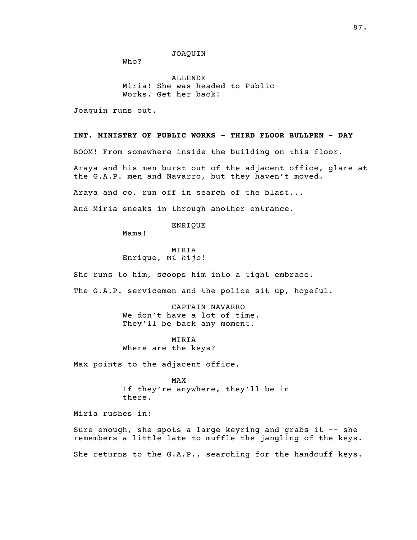JOAQUIN

Who?

ALLENDE Miria! She was headed to Public Works. Get her back!

Joaquin runs out.

#### INT. MINISTRY OF PUBLIC WORKS - THIRD FLOOR BULLPEN - DAY

BOOM! From somewhere inside the building on this floor.

Araya and his men burst out of the adjacent office, glare at the G.A.P. men and Navarro, but they haven't moved.

Araya and co. run off in search of the blast...

And Miria sneaks in through another entrance.

ENRIQUE

Mama!

MIRIA Enrique, mi hijo!

She runs to him, scoops him into a tight embrace.

The G.A.P. servicemen and the police sit up, hopeful.

CAPTAIN NAVARRO We don't have a lot of time. They'll be back any moment.

MIRIA Where are the keys?

Max points to the adjacent office.

MAX If they're anywhere, they'll be in there.

Miria rushes in:

Sure enough, she spots a large keyring and grabs it -- she remembers a little late to muffle the jangling of the keys.

She returns to the G.A.P., searching for the handcuff keys.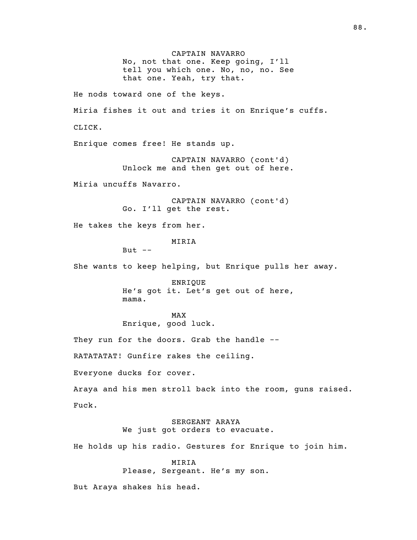CAPTAIN NAVARRO No, not that one. Keep going, I'll tell you which one. No, no, no. See that one. Yeah, try that. He nods toward one of the keys. Miria fishes it out and tries it on Enrique's cuffs. CLICK. Enrique comes free! He stands up. CAPTAIN NAVARRO (cont'd) Unlock me and then get out of here. Miria uncuffs Navarro. CAPTAIN NAVARRO (cont'd) Go. I'll get the rest. He takes the keys from her. MIRIA But  $--$ She wants to keep helping, but Enrique pulls her away. ENRIQUE He's got it. Let's get out of here, mama. MAX Enrique, good luck. They run for the doors. Grab the handle --RATATATAT! Gunfire rakes the ceiling. Everyone ducks for cover. Araya and his men stroll back into the room, guns raised. Fuck. SERGEANT ARAYA We just got orders to evacuate. He holds up his radio. Gestures for Enrique to join him. MIRIA Please, Sergeant. He's my son. But Araya shakes his head.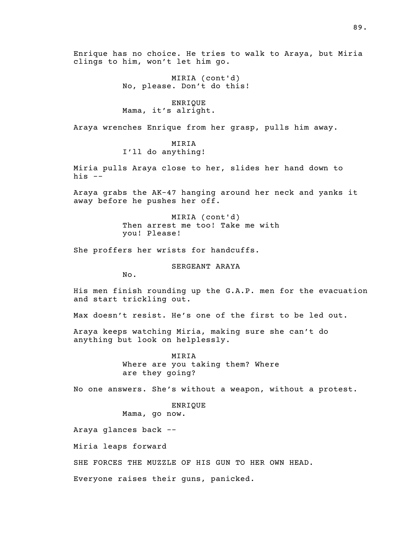Enrique has no choice. He tries to walk to Araya, but Miria clings to him, won't let him go.

> MIRIA (cont'd) No, please. Don't do this!

ENRIQUE Mama, it's alright.

Araya wrenches Enrique from her grasp, pulls him away.

### MIRIA

I'll do anything!

Miria pulls Araya close to her, slides her hand down to his  $--$ 

Araya grabs the AK-47 hanging around her neck and yanks it away before he pushes her off.

> MIRIA (cont'd) Then arrest me too! Take me with you! Please!

She proffers her wrists for handcuffs.

SERGEANT ARAYA

No.

His men finish rounding up the G.A.P. men for the evacuation and start trickling out.

Max doesn't resist. He's one of the first to be led out.

Araya keeps watching Miria, making sure she can't do anything but look on helplessly.

> MIRIA Where are you taking them? Where are they going?

No one answers. She's without a weapon, without a protest.

ENRIQUE Mama, go now.

Araya glances back --

Miria leaps forward

SHE FORCES THE MUZZLE OF HIS GUN TO HER OWN HEAD.

Everyone raises their guns, panicked.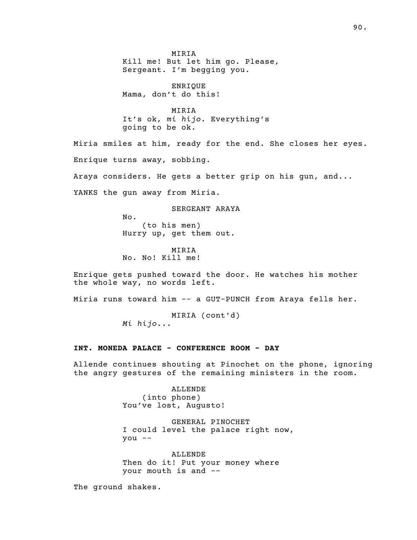MIRIA Kill me! But let him go. Please, Sergeant. I'm begging you.

ENRIQUE Mama, don't do this!

MIRIA It's ok, mi hijo. Everything's going to be ok.

Miria smiles at him, ready for the end. She closes her eyes. Enrique turns away, sobbing.

Araya considers. He gets a better grip on his gun, and...

YANKS the gun away from Miria.

SERGEANT ARAYA No.  $(to$  his men $)$ Hurry up, get them out.

MIRIA No. No! Kill me!

Enrique gets pushed toward the door. He watches his mother the whole way, no words left.

Miria runs toward him -- a GUT-PUNCH from Araya fells her.

MIRIA (cont'd) Mi hijo...

# INT. MONEDA PALACE - CONFERENCE ROOM - DAY

Allende continues shouting at Pinochet on the phone, ignoring the angry gestures of the remaining ministers in the room.

> ALLENDE (into phone) You've lost, Augusto!

GENERAL PINOCHET I could level the palace right now, you --

ALLENDE Then do it! Put your money where your mouth is and --

The ground shakes.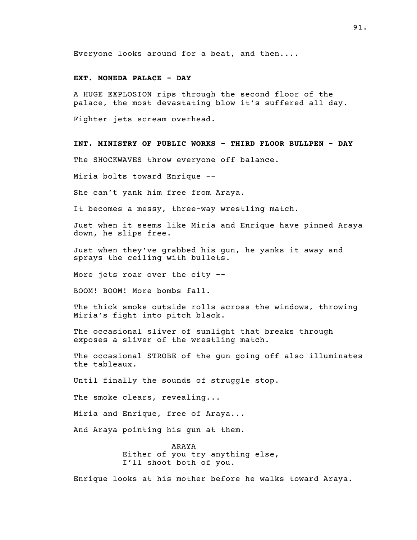Everyone looks around for a beat, and then....

# EXT. MONEDA PALACE - DAY

A HUGE EXPLOSION rips through the second floor of the palace, the most devastating blow it's suffered all day.

Fighter jets scream overhead.

INT. MINISTRY OF PUBLIC WORKS - THIRD FLOOR BULLPEN - DAY

The SHOCKWAVES throw everyone off balance.

Miria bolts toward Enrique --

She can't yank him free from Araya.

It becomes a messy, three-way wrestling match.

Just when it seems like Miria and Enrique have pinned Araya down, he slips free.

Just when they've grabbed his gun, he yanks it away and sprays the ceiling with bullets.

More jets roar over the city --

BOOM! BOOM! More bombs fall.

The thick smoke outside rolls across the windows, throwing Miria's fight into pitch black.

The occasional sliver of sunlight that breaks through exposes a sliver of the wrestling match.

The occasional STROBE of the gun going off also illuminates the tableaux.

Until finally the sounds of struggle stop.

The smoke clears, revealing...

Miria and Enrique, free of Araya...

And Araya pointing his gun at them.

ARAYA Either of you try anything else, I'll shoot both of you.

Enrique looks at his mother before he walks toward Araya.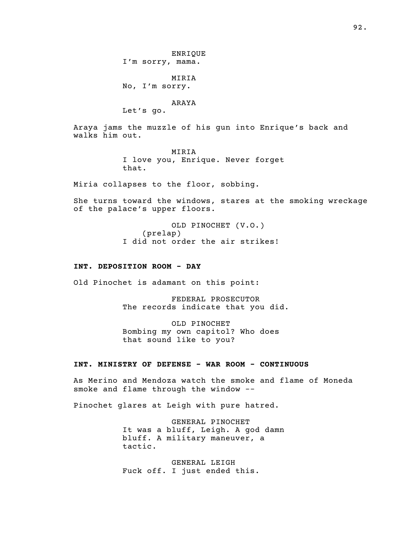ENRIQUE I'm sorry, mama.

MIRIA No, I'm sorry.

### ARAYA

Let's go.

Araya jams the muzzle of his gun into Enrique's back and walks him out.

> MIRIA I love you, Enrique. Never forget that.

Miria collapses to the floor, sobbing.

She turns toward the windows, stares at the smoking wreckage of the palace's upper floors.

> OLD PINOCHET (V.O.)  $(p$  relap) I did not order the air strikes!

### INT. DEPOSITION ROOM - DAY

Old Pinochet is adamant on this point:

FEDERAL PROSECUTOR The records indicate that you did.

OLD PINOCHET Bombing my own capitol? Who does that sound like to you?

# INT. MINISTRY OF DEFENSE - WAR ROOM - CONTINUOUS

As Merino and Mendoza watch the smoke and flame of Moneda smoke and flame through the window --

Pinochet glares at Leigh with pure hatred.

GENERAL PINOCHET It was a bluff, Leigh. A god damn bluff. A military maneuver, a tactic.

GENERAL LEIGH Fuck off. I just ended this.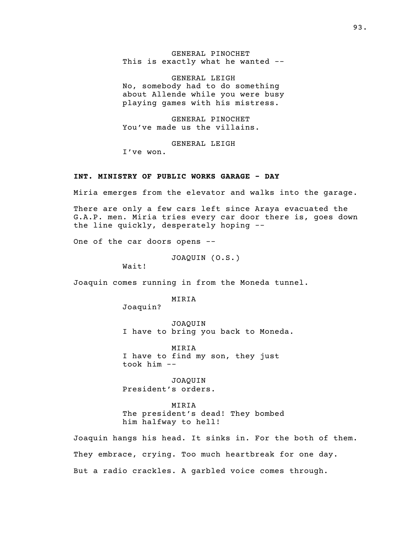GENERAL PINOCHET This is exactly what he wanted --

GENERAL LEIGH No, somebody had to do something about Allende while you were busy playing games with his mistress.

GENERAL PINOCHET You've made us the villains.

GENERAL LEIGH

I've won.

## INT. MINISTRY OF PUBLIC WORKS GARAGE - DAY

Miria emerges from the elevator and walks into the garage.

There are only a few cars left since Araya evacuated the G.A.P. men. Miria tries every car door there is, goes down the line quickly, desperately hoping --

One of the car doors opens --

JOAQUIN (O.S.)

Wait!

Joaquin comes running in from the Moneda tunnel.

MIRIA

Joaquin?

JOAQUIN I have to bring you back to Moneda.

MIRIA I have to find my son, they just took him --

JOAQUIN President's orders.

MIRIA The president's dead! They bombed him halfway to hell!

Joaquin hangs his head. It sinks in. For the both of them. They embrace, crying. Too much heartbreak for one day. But a radio crackles. A garbled voice comes through.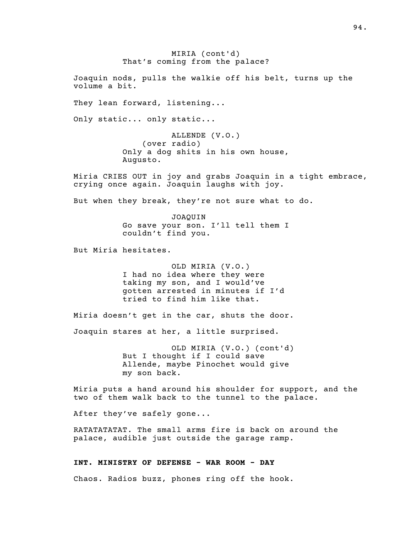MIRIA (cont'd) That's coming from the palace?

Joaquin nods, pulls the walkie off his belt, turns up the volume a bit.

They lean forward, listening...

Only static... only static...

ALLENDE (V.O.) ( over radio ) Only a dog shits in his own house, Augusto.

Miria CRIES OUT in joy and grabs Joaquin in a tight embrace, crying once again. Joaquin laughs with joy.

But when they break, they're not sure what to do.

JOAQUIN Go save your son. I'll tell them I couldn't find you.

But Miria hesitates.

OLD MIRIA (V.O.) I had no idea where they were taking my son, and I would've gotten arrested in minutes if I'd tried to find him like that.

Miria doesn't get in the car, shuts the door.

Joaquin stares at her, a little surprised.

OLD MIRIA (V.O.) (cont'd) But I thought if I could save Allende, maybe Pinochet would give my son back.

Miria puts a hand around his shoulder for support, and the two of them walk back to the tunnel to the palace.

After they've safely gone...

RATATATATAT. The small arms fire is back on around the palace, audible just outside the garage ramp.

### INT. MINISTRY OF DEFENSE - WAR ROOM - DAY

Chaos. Radios buzz, phones ring off the hook.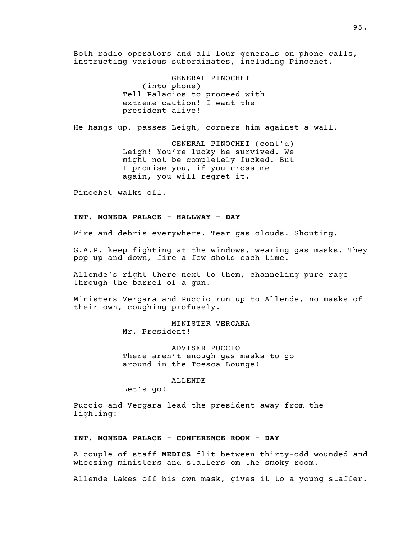Both radio operators and all four generals on phone calls, instructing various subordinates, including Pinochet.

> GENERAL PINOCHET (into phone) Tell Palacios to proceed with extreme caution! I want the president alive!

He hangs up, passes Leigh, corners him against a wall.

GENERAL PINOCHET (cont'd) Leigh! You're lucky he survived. We might not be completely fucked. But I promise you, if you cross me again, you will regret it.

Pinochet walks off.

### INT. MONEDA PALACE - HALLWAY - DAY

Fire and debris everywhere. Tear gas clouds. Shouting.

G.A.P. keep fighting at the windows, wearing gas masks. They pop up and down, fire a few shots each time.

Allende's right there next to them, channeling pure rage through the barrel of a gun.

Ministers Vergara and Puccio run up to Allende, no masks of their own, coughing profusely.

> MINISTER VERGARA Mr. President!

ADVISER PUCCIO There aren't enough gas masks to go around in the Toesca Lounge!

ALLENDE

Let's go!

Puccio and Vergara lead the president away from the fighting:

#### INT. MONEDA PALACE - CONFERENCE ROOM - DAY

A couple of staff MEDICS flit between thirty-odd wounded and wheezing ministers and staffers om the smoky room.

Allende takes off his own mask, gives it to a young staffer.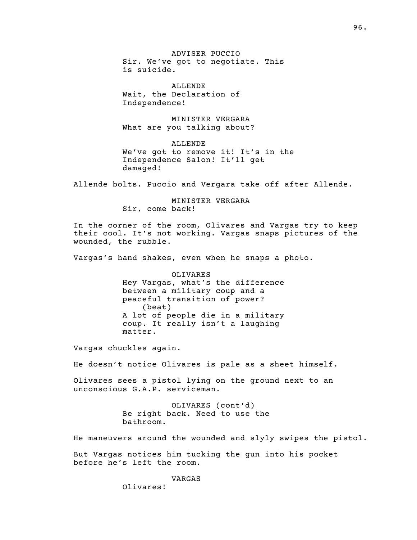ADVISER PUCCIO Sir. We've got to negotiate. This is suicide.

ALLENDE Wait, the Declaration of Independence!

MINISTER VERGARA What are you talking about?

ALLENDE We've got to remove it! It's in the Independence Salon! It'll get damaged!

Allende bolts. Puccio and Vergara take off after Allende.

MINISTER VERGARA Sir, come back!

In the corner of the room, Olivares and Vargas try to keep their cool. It's not working. Vargas snaps pictures of the wounded, the rubble.

Vargas's hand shakes, even when he snaps a photo.

OLIVARES Hey Vargas, what's the difference between a military coup and a peaceful transition of power?  $(b$ eat $)$ A lot of people die in a military coup. It really isn't a laughing matter.

Vargas chuckles again.

He doesn't notice Olivares is pale as a sheet himself.

Olivares sees a pistol lying on the ground next to an unconscious G.A.P. serviceman.

> OLIVARES (cont'd) Be right back. Need to use the bathroom.

He maneuvers around the wounded and slyly swipes the pistol.

But Vargas notices him tucking the gun into his pocket before he's left the room.

VARGAS

Olivares!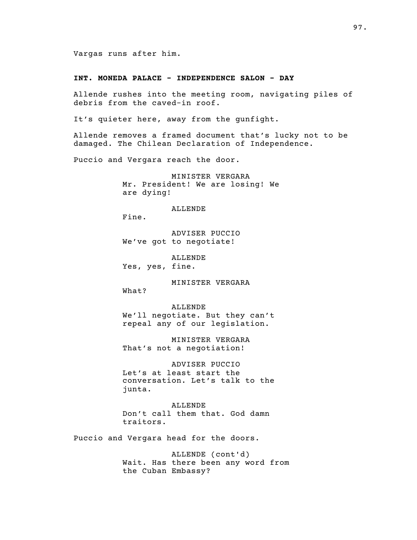Vargas runs after him.

### INT. MONEDA PALACE - INDEPENDENCE SALON - DAY

Allende rushes into the meeting room, navigating piles of debris from the caved-in roof.

It's quieter here, away from the gunfight.

Allende removes a framed document that's lucky not to be damaged. The Chilean Declaration of Independence.

Puccio and Vergara reach the door.

MINISTER VERGARA Mr. President! We are losing! We are dying!

ALLENDE

Fine.

ADVISER PUCCIO We've got to negotiate!

ALLENDE Yes, yes, fine.

MINISTER VERGARA

What?

ALLENDE We'll negotiate. But they can't repeal any of our legislation.

MINISTER VERGARA That's not a negotiation!

ADVISER PUCCIO Let's at least start the conversation. Let's talk to the junta.

ALLENDE Don't call them that. God damn traitors.

Puccio and Vergara head for the doors.

ALLENDE (cont'd) Wait. Has there been any word from the Cuban Embassy?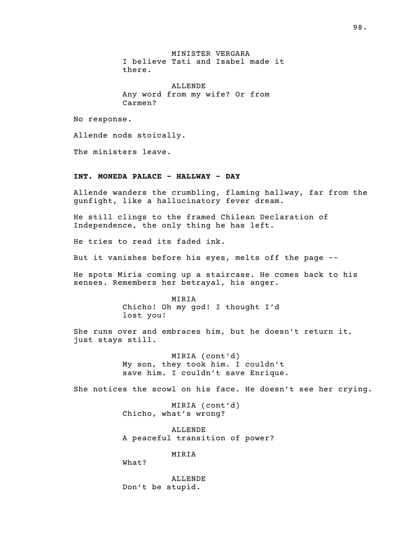MINISTER VERGARA I believe Tati and Isabel made it there.

ALLENDE Any word from my wife? Or from Carmen?

No response.

Allende nods stoically.

The ministers leave.

# INT. MONEDA PALACE - HALLWAY - DAY

Allende wanders the crumbling, flaming hallway, far from the gunfight, like a hallucinatory fever dream.

He still clings to the framed Chilean Declaration of Independence, the only thing he has left.

He tries to read its faded ink.

But it vanishes before his eyes, melts off the page --

He spots Miria coming up a staircase. He comes back to his senses. Remembers her betrayal, his anger.

> MIRIA Chicho! Oh my god! I thought I'd lost you!

She runs over and embraces him, but he doesn't return it, just stays still.

> MIRIA (cont'd) My son, they took him. I couldn't save him. I couldn't save Enrique.

She notices the scowl on his face. He doesn't see her crying.

MIRIA (cont'd) Chicho, what's wrong?

ALLENDE A peaceful transition of power?

MIRIA

What?

ALLENDE Don't be stupid.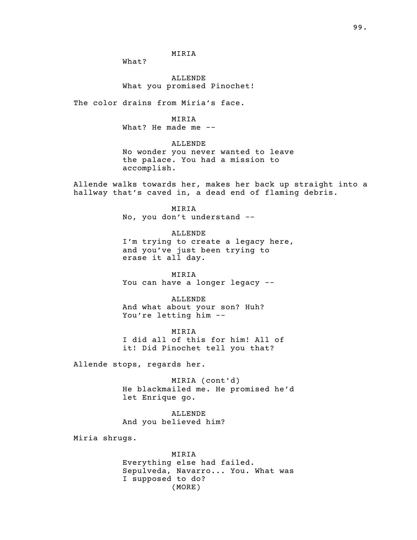MIRIA

What?

ALLENDE What you promised Pinochet!

The color drains from Miria's face.

#### MIRIA

What? He made me --

### ALLENDE

No wonder you never wanted to leave the palace. You had a mission to accomplish.

Allende walks towards her, makes her back up straight into a hallway that's caved in, a dead end of flaming debris.

> MIRIA No, you don't understand --

ALLENDE I'm trying to create a legacy here, and you've just been trying to erase it all day.

MIRIA You can have a longer legacy --

ALLENDE

And what about your son? Huh? You're letting him --

MIRIA I did all of this for him! All of it! Did Pinochet tell you that?

Allende stops, regards her.

MIRIA (cont'd) He blackmailed me. He promised he'd let Enrique go.

ALLENDE And you believed him?

Miria shrugs.

MIRIA Everything else had failed. Sepulveda, Navarro... You. What was I supposed to do? (MORE)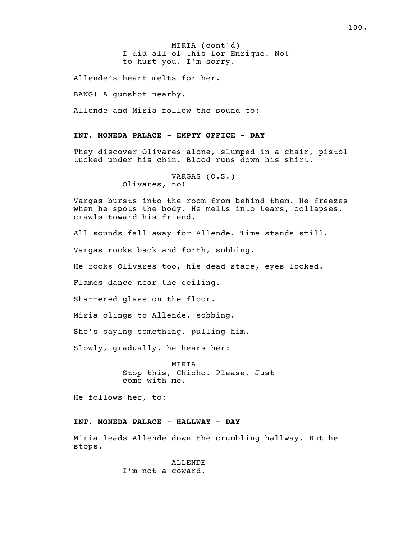I did all of this for Enrique. Not MIRIA (cont'd) to hurt you. I'm sorry.

Allende's heart melts for her.

BANG! A gunshot nearby.

Allende and Miria follow the sound to:

### INT. MONEDA PALACE - EMPTY OFFICE - DAY

They discover Olivares alone, slumped in a chair, pistol tucked under his chin. Blood runs down his shirt.

```
VARGAS (O.S.)
Olivares, no!
```
Vargas bursts into the room from behind them. He freezes when he spots the body. He melts into tears, collapses, crawls toward his friend.

All sounds fall away for Allende. Time stands still.

Vargas rocks back and forth, sobbing.

He rocks Olivares too, his dead stare, eyes locked.

Flames dance near the ceiling.

Shattered glass on the floor.

Miria clings to Allende, sobbing.

She's saying something, pulling him.

Slowly, gradually, he hears her:

MIRIA Stop this, Chicho. Please. Just come with me.

He follows her, to:

#### INT. MONEDA PALACE - HALLWAY - DAY

Miria leads Allende down the crumbling hallway. But he stops.

> ALLENDE I'm not a coward.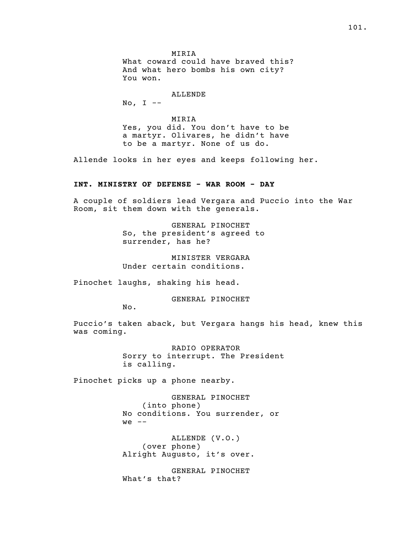MIRIA What coward could have braved this? And what hero bombs his own city? You won.

# ALLENDE

No,  $I$  --

MIRIA Yes, you did. You don't have to be a martyr. Olivares, he didn't have to be a martyr. None of us do.

Allende looks in her eyes and keeps following her.

## INT. MINISTRY OF DEFENSE - WAR ROOM - DAY

A couple of soldiers lead Vergara and Puccio into the War Room, sit them down with the generals.

> GENERAL PINOCHET So, the president's agreed to surrender, has he?

MINISTER VERGARA Under certain conditions.

Pinochet laughs, shaking his head.

GENERAL PINOCHET

No.

Puccio's taken aback, but Vergara hangs his head, knew this was coming.

> RADIO OPERATOR Sorry to interrupt. The President is calling.

Pinochet picks up a phone nearby.

GENERAL PINOCHET (into phone) No conditions. You surrender, or  $we$  --

ALLENDE (V.O.) (over phone) Alright Augusto, it's over.

GENERAL PINOCHET What's that?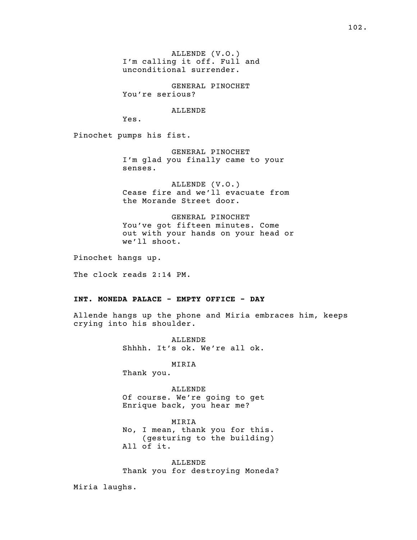ALLENDE (V.O.) I'm calling it off. Full and unconditional surrender.

GENERAL PINOCHET You're serious?

ALLENDE

Yes.

Pinochet pumps his fist.

GENERAL PINOCHET I'm glad you finally came to your senses.

ALLENDE (V.O.) Cease fire and we'll evacuate from the Morande Street door.

GENERAL PINOCHET You've got fifteen minutes. Come out with your hands on your head or we'll shoot.

Pinochet hangs up.

The clock reads 2:14 PM.

#### INT. MONEDA PALACE - EMPTY OFFICE - DAY

Allende hangs up the phone and Miria embraces him, keeps crying into his shoulder.

> ALLENDE Shhhh. It's ok. We're all ok.

> > MIRIA

Thank you.

ALLENDE

Of course. We're going to get Enrique back, you hear me?

MIRIA No, I mean, thank you for this. ( gesturing to the building ) All of it.

ALLENDE Thank you for destroying Moneda?

Miria laughs.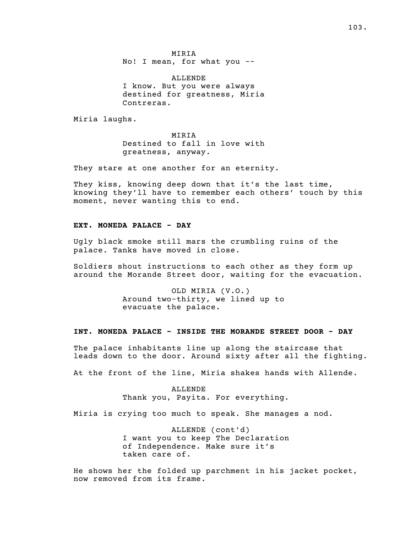MIRIA No! I mean, for what you --

ALLENDE I know. But you were always destined for greatness, Miria Contreras.

Miria laughs.

MIRIA Destined to fall in love with greatness, anyway.

They stare at one another for an eternity.

They kiss, knowing deep down that it's the last time, knowing they'll have to remember each others' touch by this moment, never wanting this to end.

# EXT. MONEDA PALACE - DAY

Ugly black smoke still mars the crumbling ruins of the palace. Tanks have moved in close.

Soldiers shout instructions to each other as they form up around the Morande Street door, waiting for the evacuation.

> OLD MIRIA (V.O.) Around two-thirty, we lined up to evacuate the palace.

### INT. MONEDA PALACE - INSIDE THE MORANDE STREET DOOR - DAY

The palace inhabitants line up along the staircase that leads down to the door. Around sixty after all the fighting.

At the front of the line, Miria shakes hands with Allende.

ALLENDE Thank you, Payita. For everything.

Miria is crying too much to speak. She manages a nod.

ALLENDE (cont'd) I want you to keep The Declaration of Independence. Make sure it's taken care of.

He shows her the folded up parchment in his jacket pocket, now removed from its frame.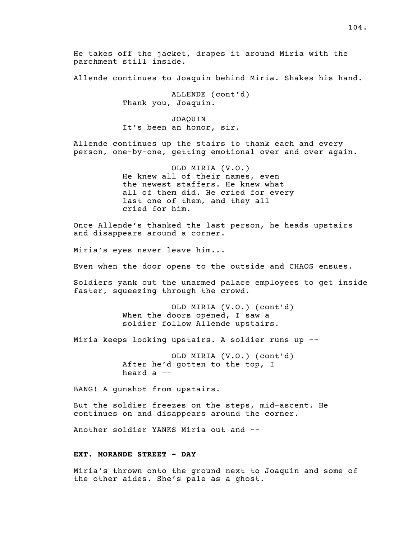He takes off the jacket, drapes it around Miria with the parchment still inside.

Allende continues to Joaquin behind Miria. Shakes his hand.

ALLENDE (cont'd) Thank you, Joaquin.

JOAQUIN It's been an honor, sir.

Allende continues up the stairs to thank each and every person, one-by-one, getting emotional over and over again.

> OLD MIRIA (V.O.) He knew all of their names, even the newest staffers. He knew what all of them did. He cried for every last one of them, and they all cried for him.

Once Allende's thanked the last person, he heads upstairs and disappears around a corner.

Miria's eyes never leave him...

Even when the door opens to the outside and CHAOS ensues.

Soldiers yank out the unarmed palace employees to get inside faster, squeezing through the crowd.

> OLD MIRIA (V.O.) (cont'd) When the doors opened, I saw a soldier follow Allende upstairs.

Miria keeps looking upstairs. A soldier runs up --

OLD MIRIA (V.O.) (cont'd) After he'd gotten to the top, I heard a --

BANG! A gunshot from upstairs.

But the soldier freezes on the steps, mid-ascent. He continues on and disappears around the corner.

Another soldier YANKS Miria out and --

# EXT. MORANDE STREET - DAY

Miria's thrown onto the ground next to Joaquin and some of the other aides. She's pale as a ghost.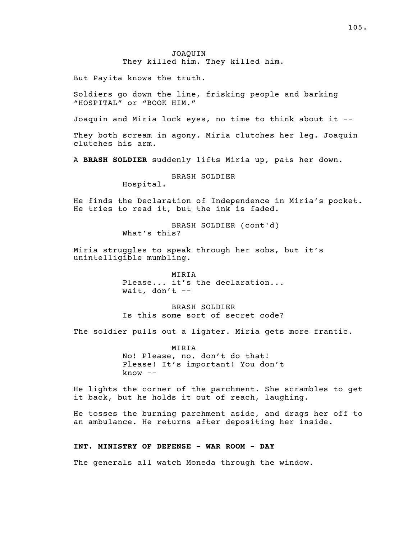### JOAQUIN They killed him. They killed him.

But Payita knows the truth.

Soldiers go down the line, frisking people and barking "HOSPITAL" or "BOOK HIM."

Joaquin and Miria lock eyes, no time to think about it --

They both scream in agony. Miria clutches her leg. Joaquin clutches his arm.

A BRASH SOLDIER suddenly lifts Miria up, pats her down.

BRASH SOLDIER

Hospital.

He finds the Declaration of Independence in Miria's pocket. He tries to read it, but the ink is faded.

> BRASH SOLDIER (cont'd) What's this?

Miria struggles to speak through her sobs, but it's unintelligible mumbling.

> MIRIA Please... it's the declaration... wait, don't  $--$

> BRASH SOLDIER Is this some sort of secret code?

The soldier pulls out a lighter. Miria gets more frantic.

MIRIA No! Please, no, don't do that! Please! It's important! You don't  $know$   $--$ 

He lights the corner of the parchment. She scrambles to get it back, but he holds it out of reach, laughing.

He tosses the burning parchment aside, and drags her off to an ambulance. He returns after depositing her inside.

### INT. MINISTRY OF DEFENSE - WAR ROOM - DAY

The generals all watch Moneda through the window.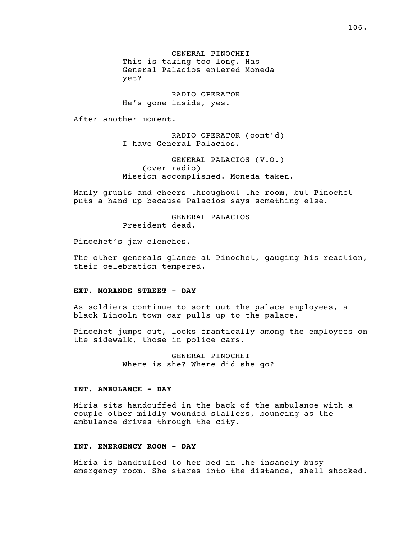GENERAL PINOCHET This is taking too long. Has General Palacios entered Moneda yet?

RADIO OPERATOR He's gone inside, yes.

After another moment.

RADIO OPERATOR (cont'd) I have General Palacios.

GENERAL PALACIOS (V.O.) (over radio) Mission accomplished. Moneda taken.

Manly grunts and cheers throughout the room, but Pinochet puts a hand up because Palacios says something else.

> GENERAL PALACIOS President dead.

Pinochet's jaw clenches.

The other generals glance at Pinochet, gauging his reaction, their celebration tempered.

### EXT. MORANDE STREET - DAY

As soldiers continue to sort out the palace employees, a black Lincoln town car pulls up to the palace.

Pinochet jumps out, looks frantically among the employees on the sidewalk, those in police cars.

> GENERAL PINOCHET Where is she? Where did she go?

### INT. AMBULANCE - DAY

Miria sits handcuffed in the back of the ambulance with a couple other mildly wounded staffers, bouncing as the ambulance drives through the city.

### INT. EMERGENCY ROOM - DAY

Miria is handcuffed to her bed in the insanely busy emergency room. She stares into the distance, shell-shocked.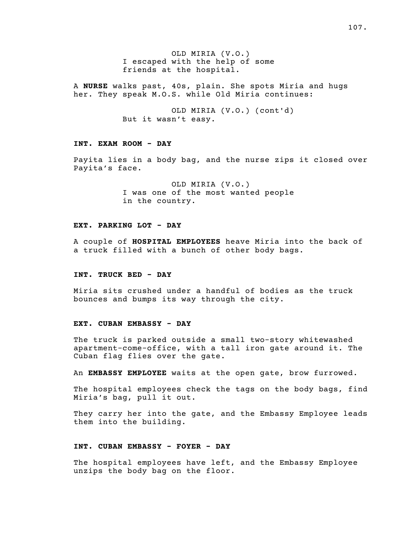OLD MIRIA (V.O.) I escaped with the help of some friends at the hospital.

A NURSE walks past, 40s, plain. She spots Miria and hugs her. They speak M.O.S. while Old Miria continues:

> OLD MIRIA (V.O.) (cont'd) But it wasn't easy.

# INT. EXAM ROOM - DAY

Payita lies in a body bag, and the nurse zips it closed over Payita's face.

> OLD MIRIA (V.O.) I was one of the most wanted people in the country.

# EXT. PARKING LOT - DAY

A couple of HOSPITAL EMPLOYEES heave Miria into the back of a truck filled with a bunch of other body bags.

# INT. TRUCK BED - DAY

Miria sits crushed under a handful of bodies as the truck bounces and bumps its way through the city.

#### EXT. CUBAN EMBASSY - DAY

The truck is parked outside a small two-story whitewashed apartment-come-office, with a tall iron gate around it. The Cuban flag flies over the gate.

An EMBASSY EMPLOYEE waits at the open gate, brow furrowed.

The hospital employees check the tags on the body bags, find Miria's bag, pull it out.

They carry her into the gate, and the Embassy Employee leads them into the building.

#### INT. CUBAN EMBASSY - FOYER - DAY

The hospital employees have left, and the Embassy Employee unzips the body bag on the floor.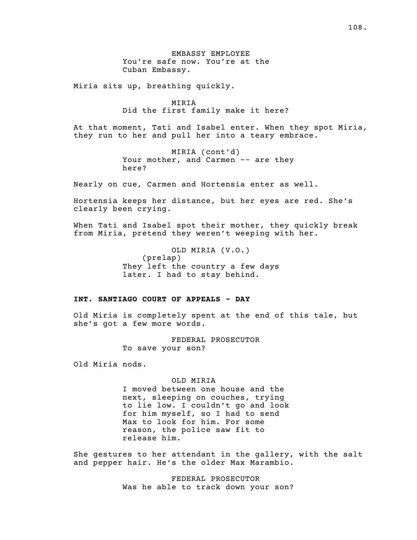EMBASSY EMPLOYEE You're safe now. You're at the Cuban Embassy.

Miria sits up, breathing quickly.

MIRIA Did the first family make it here?

At that moment, Tati and Isabel enter. When they spot Miria, they run to her and pull her into a teary embrace.

> MIRIA (cont'd) Your mother, and Carmen -- are they here?

Nearly on cue, Carmen and Hortensia enter as well.

Hortensia keeps her distance, but her eyes are red. She's clearly been crying.

When Tati and Isabel spot their mother, they quickly break from Miria, pretend they weren't weeping with her.

> OLD MIRIA (V.O.)  $(p$ relap $)$ They left the country a few days later. I had to stay behind.

## INT. SANTIAGO COURT OF APPEALS - DAY

Old Miria is completely spent at the end of this tale, but she's got a few more words.

> FEDERAL PROSECUTOR To save your son?

Old Miria nods.

#### OLD MIRIA

I moved between one house and the next, sleeping on couches, trying to lie low. I couldn't go and look for him myself, so I had to send Max to look for him. For some reason, the police saw fit to release him.

She gestures to her attendant in the gallery, with the salt and pepper hair. He's the older Max Marambio.

> FEDERAL PROSECUTOR Was he able to track down your son?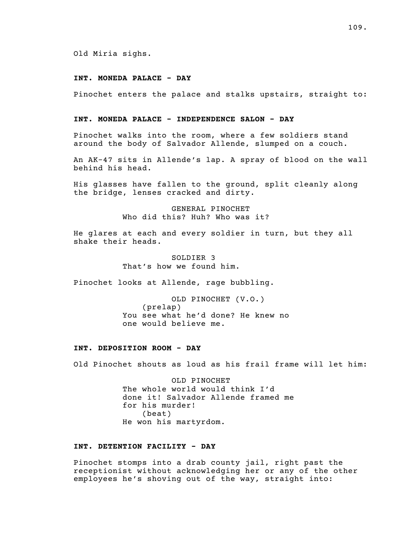Old Miria sighs.

## INT. MONEDA PALACE - DAY

Pinochet enters the palace and stalks upstairs, straight to:

### INT. MONEDA PALACE - INDEPENDENCE SALON - DAY

Pinochet walks into the room, where a few soldiers stand around the body of Salvador Allende, slumped on a couch.

An AK-47 sits in Allende's lap. A spray of blood on the wall behind his head.

His glasses have fallen to the ground, split cleanly along the bridge, lenses cracked and dirty.

> GENERAL PINOCHET Who did this? Huh? Who was it?

He glares at each and every soldier in turn, but they all shake their heads.

> SOLDIER 3 That's how we found him.

Pinochet looks at Allende, rage bubbling.

OLD PINOCHET (V.O.)  $(p$  relap) You see what he'd done? He knew no one would believe me.

# INT. DEPOSITION ROOM - DAY

Old Pinochet shouts as loud as his frail frame will let him:

OLD PINOCHET The whole world would think I'd done it! Salvador Allende framed me for his murder!  $(b$ eat $)$ He won his martyrdom.

### INT. DETENTION FACILITY - DAY

Pinochet stomps into a drab county jail, right past the receptionist without acknowledging her or any of the other employees he's shoving out of the way, straight into: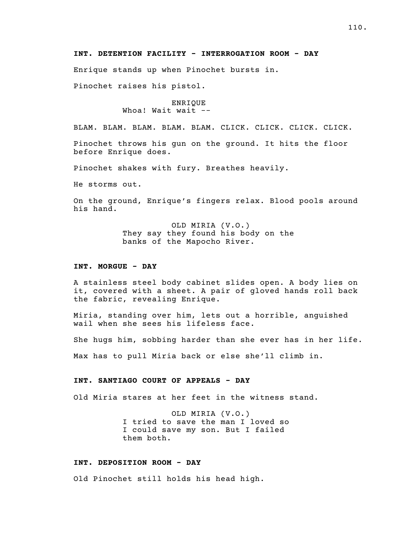### INT. DETENTION FACILITY - INTERROGATION ROOM - DAY

Enrique stands up when Pinochet bursts in.

Pinochet raises his pistol.

ENRIQUE Whoa! Wait wait  $-$ 

BLAM. BLAM. BLAM. BLAM. BLAM. CLICK. CLICK. CLICK. CLICK.

Pinochet throws his gun on the ground. It hits the floor before Enrique does.

Pinochet shakes with fury. Breathes heavily.

He storms out.

On the ground, Enrique's fingers relax. Blood pools around his hand.

> OLD MIRIA (V.O.) They say they found his body on the banks of the Mapocho River.

## INT. MORGUE - DAY

A stainless steel body cabinet slides open. A body lies on it, covered with a sheet. A pair of gloved hands roll back the fabric, revealing Enrique.

Miria, standing over him, lets out a horrible, anguished wail when she sees his lifeless face.

She hugs him, sobbing harder than she ever has in her life.

Max has to pull Miria back or else she'll climb in.

## INT. SANTIAGO COURT OF APPEALS - DAY

Old Miria stares at her feet in the witness stand.

OLD MIRIA (V.O.) I tried to save the man I loved so I could save my son. But I failed them both.

### INT. DEPOSITION ROOM - DAY

Old Pinochet still holds his head high.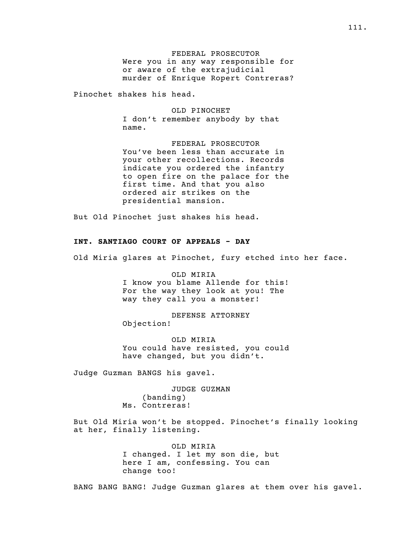FEDERAL PROSECUTOR Were you in any way responsible for or aware of the extrajudicial murder of Enrique Ropert Contreras?

Pinochet shakes his head.

OLD PINOCHET I don't remember anybody by that name.

FEDERAL PROSECUTOR You've been less than accurate in your other recollections. Records indicate you ordered the infantry to open fire on the palace for the first time. And that you also ordered air strikes on the presidential mansion.

But Old Pinochet just shakes his head.

### INT. SANTIAGO COURT OF APPEALS - DAY

Old Miria glares at Pinochet, fury etched into her face.

OLD MIRIA I know you blame Allende for this! For the way they look at you! The way they call you a monster!

DEFENSE ATTORNEY Objection!

OLD MIRIA You could have resisted, you could have changed, but you didn't.

Judge Guzman BANGS his gavel.

JUDGE GUZMAN  $(banding)$ Ms. Contreras!

But Old Miria won't be stopped. Pinochet's finally looking at her, finally listening.

> OLD MIRIA I changed. I let my son die, but here I am, confessing. You can change too!

BANG BANG BANG! Judge Guzman glares at them over his gavel.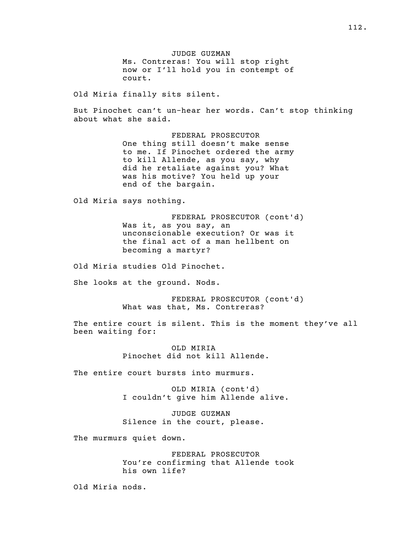JUDGE GUZMAN Ms. Contreras! You will stop right now or I'll hold you in contempt of court.

Old Miria finally sits silent.

But Pinochet can't un-hear her words. Can't stop thinking about what she said.

> FEDERAL PROSECUTOR One thing still doesn't make sense to me. If Pinochet ordered the army to kill Allende, as you say, why did he retaliate against you? What was his motive? You held up your end of the bargain.

Old Miria says nothing.

FEDERAL PROSECUTOR (cont'd) Was it, as you say, an unconscionable execution? Or was it the final act of a man hellbent on becoming a martyr?

Old Miria studies Old Pinochet.

She looks at the ground. Nods.

FEDERAL PROSECUTOR (cont'd) What was that, Ms. Contreras?

The entire court is silent. This is the moment they've all been waiting for:

> OLD MIRIA Pinochet did not kill Allende.

The entire court bursts into murmurs.

OLD MIRIA (cont'd) I couldn't give him Allende alive.

JUDGE GUZMAN Silence in the court, please.

The murmurs quiet down.

FEDERAL PROSECUTOR You're confirming that Allende took his own life?

Old Miria nods.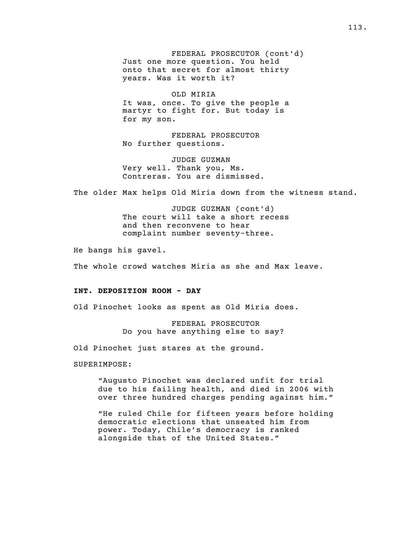FEDERAL PROSECUTOR (cont'd) Just one more question. You held onto that secret for almost thirty years. Was it worth it?

OLD MIRIA It was, once. To give the people a martyr to fight for. But today is for my son.

FEDERAL PROSECUTOR No further questions.

JUDGE GUZMAN Very well. Thank you, Ms. Contreras. You are dismissed.

The older Max helps Old Miria down from the witness stand.

JUDGE GUZMAN (cont'd) The court will take a short recess and then reconvene to hear complaint number seventy-three.

He bangs his gavel.

The whole crowd watches Miria as she and Max leave.

### INT. DEPOSITION ROOM - DAY

Old Pinochet looks as spent as Old Miria does.

FEDERAL PROSECUTOR Do you have anything else to say?

Old Pinochet just stares at the ground.

SUPERIMPOSE:

"Augusto Pinochet was declared unfit for trial due to his failing health, and died in 2006 with over three hundred charges pending against him."

"He ruled Chile for fifteen years before holding democratic elections that unseated him from power. Today, Chile's democracy is ranked alongside that of the United States."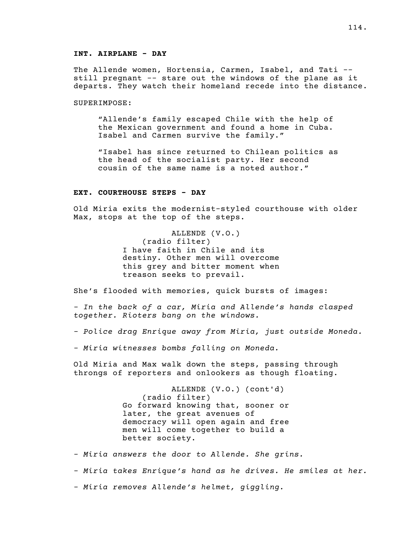### INT. AIRPLANE - DAY

The Allende women, Hortensia, Carmen, Isabel, and Tati - still pregnant -- stare out the windows of the plane as it departs. They watch their homeland recede into the distance.

SUPERIMPOSE:

"Allende's family escaped Chile with the help of the Mexican government and found a home in Cuba. Isabel and Carmen survive the family."

"Isabel has since returned to Chilean politics as the head of the socialist party. Her second cousin of the same name is a noted author."

### EXT. COURTHOUSE STEPS - DAY

Old Miria exits the modernist-styled courthouse with older Max, stops at the top of the steps.

> ALLENDE (V.O.) (radio filter) I have faith in Chile and its destiny. Other men will overcome this grey and bitter moment when treason seeks to prevail.

She's flooded with memories, quick bursts of images:

- In the back of a car, Miria and Allende's hands clasped together. Rioters bang on the windows.

- Police drag Enrique away from Miria, just outside Moneda.

- Miria witnesses bombs falling on Moneda.

Old Miria and Max walk down the steps, passing through throngs of reporters and onlookers as though floating.

> ALLENDE (V.O.) (cont'd) (radio filter) Go forward knowing that, sooner or later, the great avenues of democracy will open again and free men will come together to build a better society.

- Miria answers the door to Allende. She grins.

- Miria takes Enrique's hand as he drives. He smiles at her.

- Miria removes Allende's helmet, giggling.